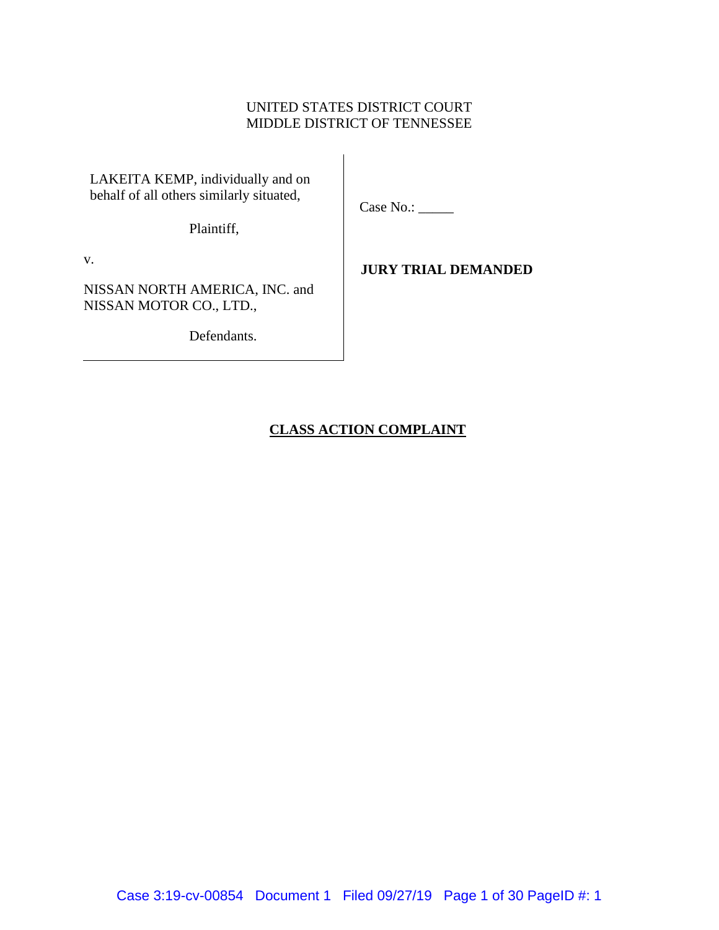## UNITED STATES DISTRICT COURT MIDDLE DISTRICT OF TENNESSEE

LAKEITA KEMP, individually and on behalf of all others similarly situated,

Case No.:

Plaintiff,

v.

NISSAN NORTH AMERICA, INC. and NISSAN MOTOR CO., LTD.,

Defendants.

## **JURY TRIAL DEMANDED**

## **CLASS ACTION COMPLAINT**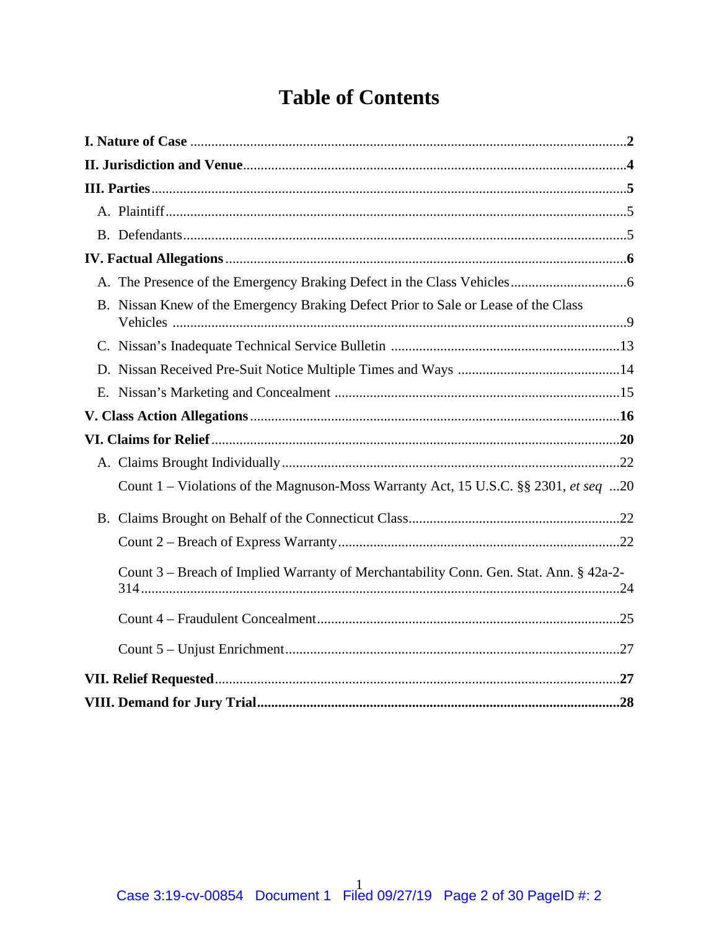# **Table of Contents**

|  | B. Nissan Knew of the Emergency Braking Defect Prior to Sale or Lease of the Class     |
|--|----------------------------------------------------------------------------------------|
|  |                                                                                        |
|  |                                                                                        |
|  |                                                                                        |
|  |                                                                                        |
|  |                                                                                        |
|  |                                                                                        |
|  | Count 1 – Violations of the Magnuson-Moss Warranty Act, 15 U.S.C. §§ 2301, et seq 20   |
|  |                                                                                        |
|  |                                                                                        |
|  | Count 3 – Breach of Implied Warranty of Merchantability Conn. Gen. Stat. Ann. § 42a-2- |
|  |                                                                                        |
|  |                                                                                        |
|  |                                                                                        |
|  |                                                                                        |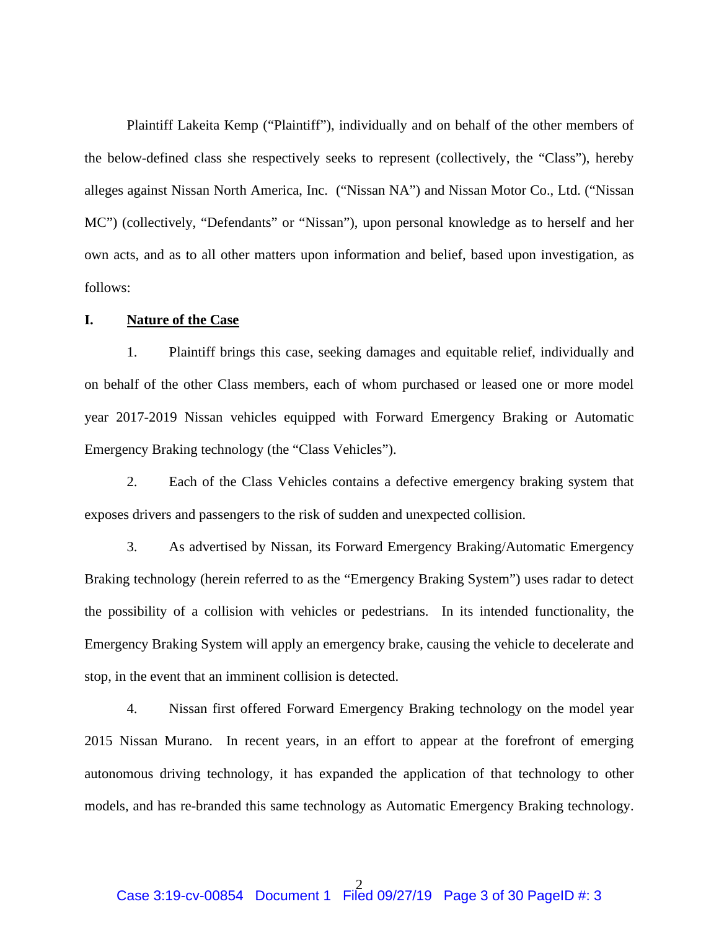Plaintiff Lakeita Kemp ("Plaintiff"), individually and on behalf of the other members of the below-defined class she respectively seeks to represent (collectively, the "Class"), hereby alleges against Nissan North America, Inc. ("Nissan NA") and Nissan Motor Co., Ltd. ("Nissan MC") (collectively, "Defendants" or "Nissan"), upon personal knowledge as to herself and her own acts, and as to all other matters upon information and belief, based upon investigation, as follows:

## **I. Nature of the Case**

1. Plaintiff brings this case, seeking damages and equitable relief, individually and on behalf of the other Class members, each of whom purchased or leased one or more model year 2017-2019 Nissan vehicles equipped with Forward Emergency Braking or Automatic Emergency Braking technology (the "Class Vehicles").

2. Each of the Class Vehicles contains a defective emergency braking system that exposes drivers and passengers to the risk of sudden and unexpected collision.

3. As advertised by Nissan, its Forward Emergency Braking/Automatic Emergency Braking technology (herein referred to as the "Emergency Braking System") uses radar to detect the possibility of a collision with vehicles or pedestrians. In its intended functionality, the Emergency Braking System will apply an emergency brake, causing the vehicle to decelerate and stop, in the event that an imminent collision is detected.

4. Nissan first offered Forward Emergency Braking technology on the model year 2015 Nissan Murano. In recent years, in an effort to appear at the forefront of emerging autonomous driving technology, it has expanded the application of that technology to other models, and has re-branded this same technology as Automatic Emergency Braking technology.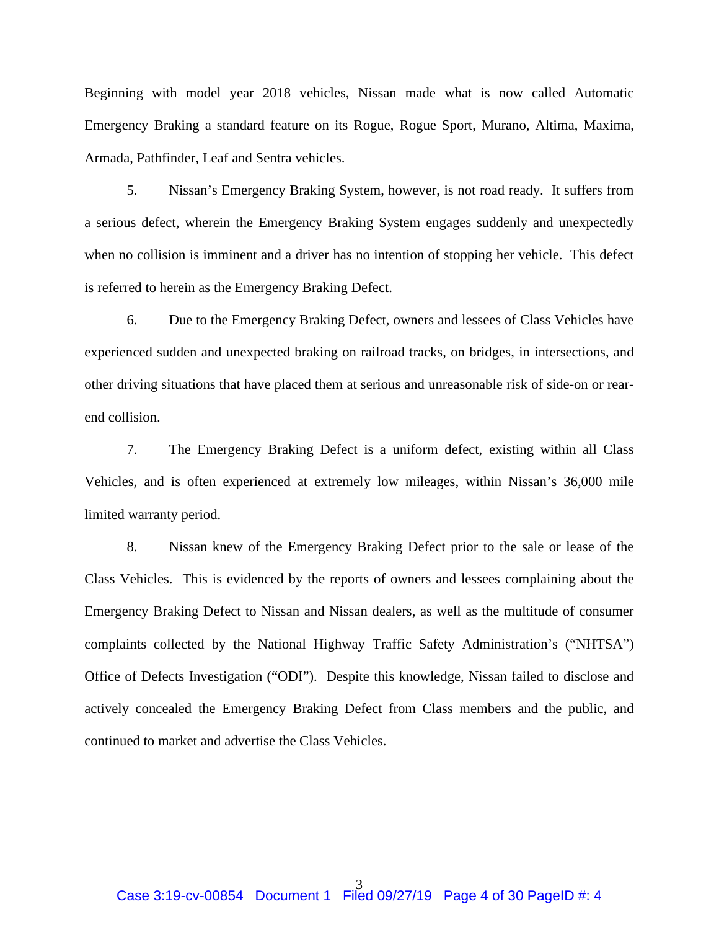Beginning with model year 2018 vehicles, Nissan made what is now called Automatic Emergency Braking a standard feature on its Rogue, Rogue Sport, Murano, Altima, Maxima, Armada, Pathfinder, Leaf and Sentra vehicles.

5. Nissan's Emergency Braking System, however, is not road ready. It suffers from a serious defect, wherein the Emergency Braking System engages suddenly and unexpectedly when no collision is imminent and a driver has no intention of stopping her vehicle. This defect is referred to herein as the Emergency Braking Defect.

6. Due to the Emergency Braking Defect, owners and lessees of Class Vehicles have experienced sudden and unexpected braking on railroad tracks, on bridges, in intersections, and other driving situations that have placed them at serious and unreasonable risk of side-on or rearend collision.

7. The Emergency Braking Defect is a uniform defect, existing within all Class Vehicles, and is often experienced at extremely low mileages, within Nissan's 36,000 mile limited warranty period.

8. Nissan knew of the Emergency Braking Defect prior to the sale or lease of the Class Vehicles. This is evidenced by the reports of owners and lessees complaining about the Emergency Braking Defect to Nissan and Nissan dealers, as well as the multitude of consumer complaints collected by the National Highway Traffic Safety Administration's ("NHTSA") Office of Defects Investigation ("ODI"). Despite this knowledge, Nissan failed to disclose and actively concealed the Emergency Braking Defect from Class members and the public, and continued to market and advertise the Class Vehicles.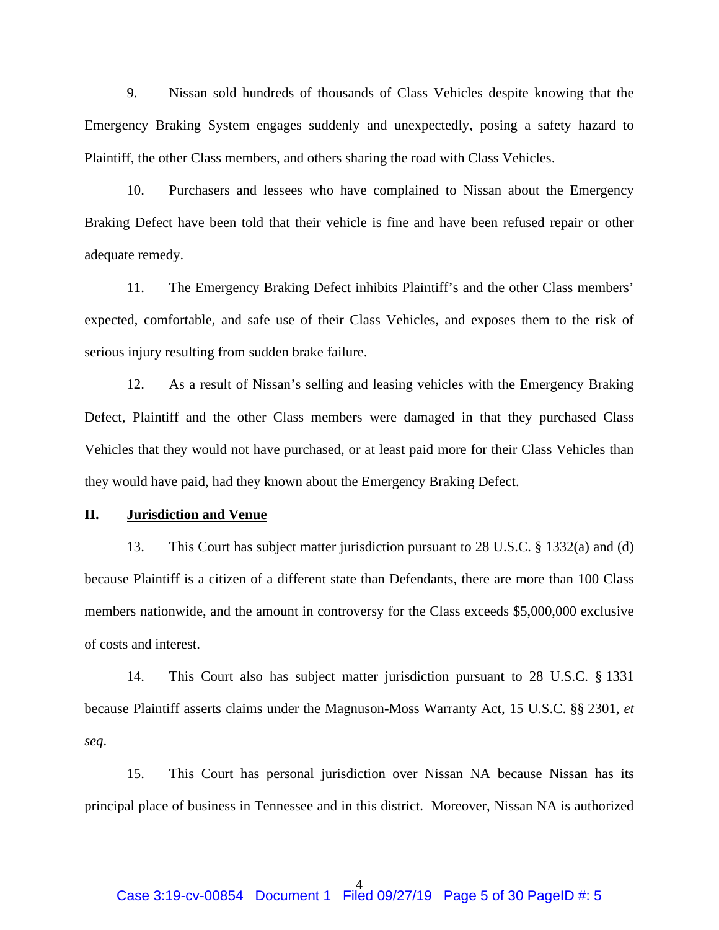9. Nissan sold hundreds of thousands of Class Vehicles despite knowing that the Emergency Braking System engages suddenly and unexpectedly, posing a safety hazard to Plaintiff, the other Class members, and others sharing the road with Class Vehicles.

10. Purchasers and lessees who have complained to Nissan about the Emergency Braking Defect have been told that their vehicle is fine and have been refused repair or other adequate remedy.

11. The Emergency Braking Defect inhibits Plaintiff's and the other Class members' expected, comfortable, and safe use of their Class Vehicles, and exposes them to the risk of serious injury resulting from sudden brake failure.

12. As a result of Nissan's selling and leasing vehicles with the Emergency Braking Defect, Plaintiff and the other Class members were damaged in that they purchased Class Vehicles that they would not have purchased, or at least paid more for their Class Vehicles than they would have paid, had they known about the Emergency Braking Defect.

## **II. Jurisdiction and Venue**

13. This Court has subject matter jurisdiction pursuant to 28 U.S.C. § 1332(a) and (d) because Plaintiff is a citizen of a different state than Defendants, there are more than 100 Class members nationwide, and the amount in controversy for the Class exceeds \$5,000,000 exclusive of costs and interest.

14. This Court also has subject matter jurisdiction pursuant to 28 U.S.C. § 1331 because Plaintiff asserts claims under the Magnuson-Moss Warranty Act, 15 U.S.C. §§ 2301, *et seq*.

15. This Court has personal jurisdiction over Nissan NA because Nissan has its principal place of business in Tennessee and in this district. Moreover, Nissan NA is authorized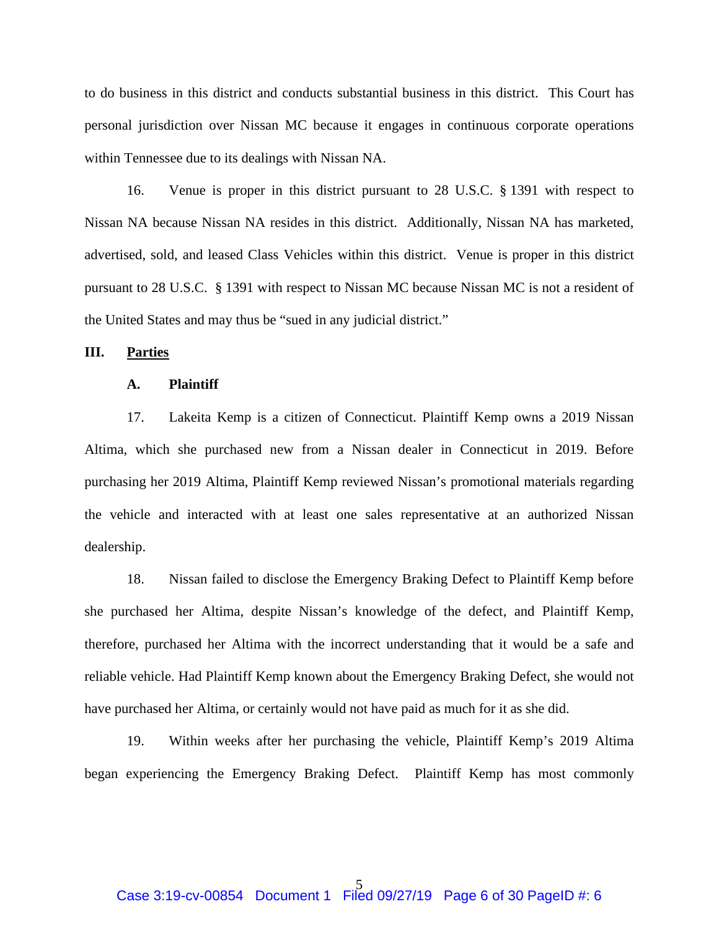to do business in this district and conducts substantial business in this district. This Court has personal jurisdiction over Nissan MC because it engages in continuous corporate operations within Tennessee due to its dealings with Nissan NA.

16. Venue is proper in this district pursuant to 28 U.S.C. § 1391 with respect to Nissan NA because Nissan NA resides in this district. Additionally, Nissan NA has marketed, advertised, sold, and leased Class Vehicles within this district. Venue is proper in this district pursuant to 28 U.S.C. § 1391 with respect to Nissan MC because Nissan MC is not a resident of the United States and may thus be "sued in any judicial district."

## **III. Parties**

#### **A. Plaintiff**

17. Lakeita Kemp is a citizen of Connecticut. Plaintiff Kemp owns a 2019 Nissan Altima, which she purchased new from a Nissan dealer in Connecticut in 2019. Before purchasing her 2019 Altima, Plaintiff Kemp reviewed Nissan's promotional materials regarding the vehicle and interacted with at least one sales representative at an authorized Nissan dealership.

18. Nissan failed to disclose the Emergency Braking Defect to Plaintiff Kemp before she purchased her Altima, despite Nissan's knowledge of the defect, and Plaintiff Kemp, therefore, purchased her Altima with the incorrect understanding that it would be a safe and reliable vehicle. Had Plaintiff Kemp known about the Emergency Braking Defect, she would not have purchased her Altima, or certainly would not have paid as much for it as she did.

19. Within weeks after her purchasing the vehicle, Plaintiff Kemp's 2019 Altima began experiencing the Emergency Braking Defect. Plaintiff Kemp has most commonly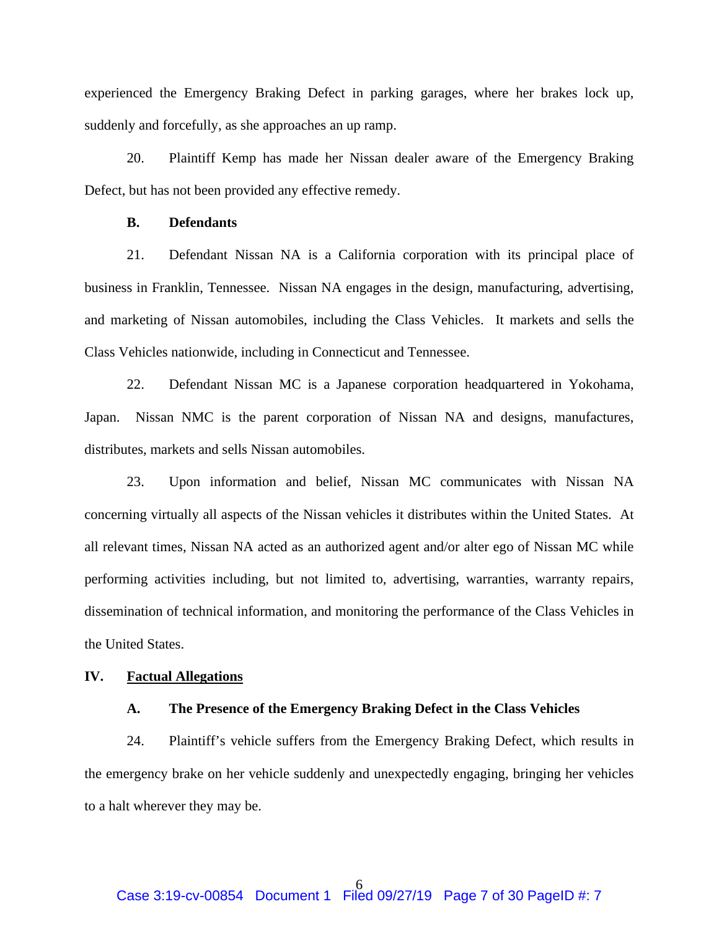experienced the Emergency Braking Defect in parking garages, where her brakes lock up, suddenly and forcefully, as she approaches an up ramp.

20. Plaintiff Kemp has made her Nissan dealer aware of the Emergency Braking Defect, but has not been provided any effective remedy.

## **B. Defendants**

21. Defendant Nissan NA is a California corporation with its principal place of business in Franklin, Tennessee. Nissan NA engages in the design, manufacturing, advertising, and marketing of Nissan automobiles, including the Class Vehicles. It markets and sells the Class Vehicles nationwide, including in Connecticut and Tennessee.

22. Defendant Nissan MC is a Japanese corporation headquartered in Yokohama, Japan. Nissan NMC is the parent corporation of Nissan NA and designs, manufactures, distributes, markets and sells Nissan automobiles.

23. Upon information and belief, Nissan MC communicates with Nissan NA concerning virtually all aspects of the Nissan vehicles it distributes within the United States. At all relevant times, Nissan NA acted as an authorized agent and/or alter ego of Nissan MC while performing activities including, but not limited to, advertising, warranties, warranty repairs, dissemination of technical information, and monitoring the performance of the Class Vehicles in the United States.

#### **IV. Factual Allegations**

#### **A. The Presence of the Emergency Braking Defect in the Class Vehicles**

24. Plaintiff's vehicle suffers from the Emergency Braking Defect, which results in the emergency brake on her vehicle suddenly and unexpectedly engaging, bringing her vehicles to a halt wherever they may be.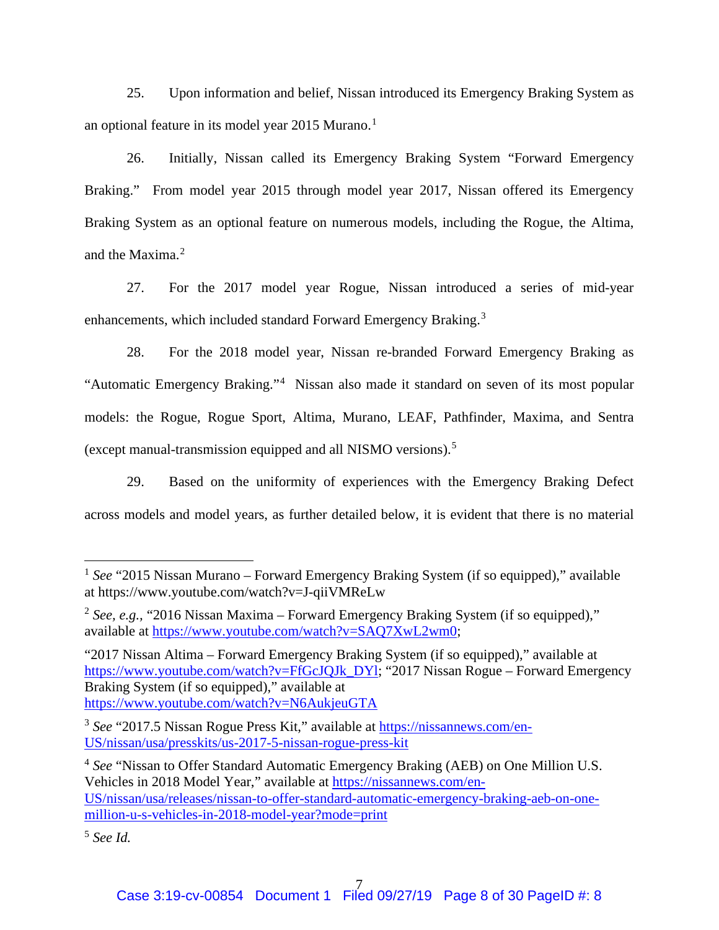25. Upon information and belief, Nissan introduced its Emergency Braking System as an optional feature in its model year 20[1](#page-7-0)5 Murano.<sup>1</sup>

26. Initially, Nissan called its Emergency Braking System "Forward Emergency Braking." From model year 2015 through model year 2017, Nissan offered its Emergency Braking System as an optional feature on numerous models, including the Rogue, the Altima, and the Maxima.[2](#page-7-1)

27. For the 2017 model year Rogue, Nissan introduced a series of mid-year enhancements, which included standard Forward Emergency Braking.[3](#page-7-2)

28. For the 2018 model year, Nissan re-branded Forward Emergency Braking as "Automatic Emergency Braking."<sup>[4](#page-7-3)</sup> Nissan also made it standard on seven of its most popular models: the Rogue, Rogue Sport, Altima, Murano, LEAF, Pathfinder, Maxima, and Sentra (except manual-transmission equipped and all NISMO versions). [5](#page-7-4)

29. Based on the uniformity of experiences with the Emergency Braking Defect across models and model years, as further detailed below, it is evident that there is no material

<span id="page-7-4"></span><sup>5</sup> *See Id.*

<span id="page-7-0"></span><sup>&</sup>lt;sup>1</sup> See "2015 Nissan Murano – Forward Emergency Braking System (if so equipped)," available at [https://www.youtube.com/](http://www.youtube.com/watch?v=J-qiiVMReLw)watch[?v=J-qiiVMReLw](http://www.youtube.com/watch?v=J-qiiVMReLw)

<span id="page-7-1"></span><sup>&</sup>lt;sup>2</sup> *See, e.g.,* "2016 Nissan Maxima – Forward Emergency Braking System (if so equipped)," available at [https://www.youtube.com/watch?v=SAQ7XwL2wm0;](https://www.youtube.com/watch?v=SAQ7XwL2wm0)

<sup>&</sup>quot;2017 Nissan Altima – Forward Emergency Braking System (if so equipped)," available at [https://www.youtube.com/watch?v=FfGcJQJk\\_DYl;](https://www.youtube.com/watch?v=FfGcJQJk_DYl) "2017 Nissan Rogue – Forward Emergency Braking System (if so equipped)," available at <https://www.youtube.com/watch?v=N6AukjeuGTA>

<span id="page-7-2"></span><sup>&</sup>lt;sup>3</sup> See "2017.5 Nissan Rogue Press Kit," available at [https://nissannews.com/en-](https://nissannews.com/en-US/nissan/usa/presskits/us-2017-5-nissan-rogue-press-kit)[US/nissan/usa/presskits/us-2017-5-nissan-rogue-press-kit](https://nissannews.com/en-US/nissan/usa/presskits/us-2017-5-nissan-rogue-press-kit)

<span id="page-7-3"></span><sup>4</sup> *See* "Nissan to Offer Standard Automatic Emergency Braking (AEB) on One Million U.S. Vehicles in 2018 Model Year," available at [https://nissannews.com/en-](https://nissannews.com/en-US/nissan/usa/releases/nissan-to-offer-standard-automatic-emergency-braking-aeb-on-one-million-u-s-vehicles-in-2018-model-year?mode=print)[US/nissan/usa/releases/nissan-to-offer-standard-automatic-emergency-braking-aeb-on-one](https://nissannews.com/en-US/nissan/usa/releases/nissan-to-offer-standard-automatic-emergency-braking-aeb-on-one-million-u-s-vehicles-in-2018-model-year?mode=print)[million-u-s-vehicles-in-2018-model-year?mode=print](https://nissannews.com/en-US/nissan/usa/releases/nissan-to-offer-standard-automatic-emergency-braking-aeb-on-one-million-u-s-vehicles-in-2018-model-year?mode=print)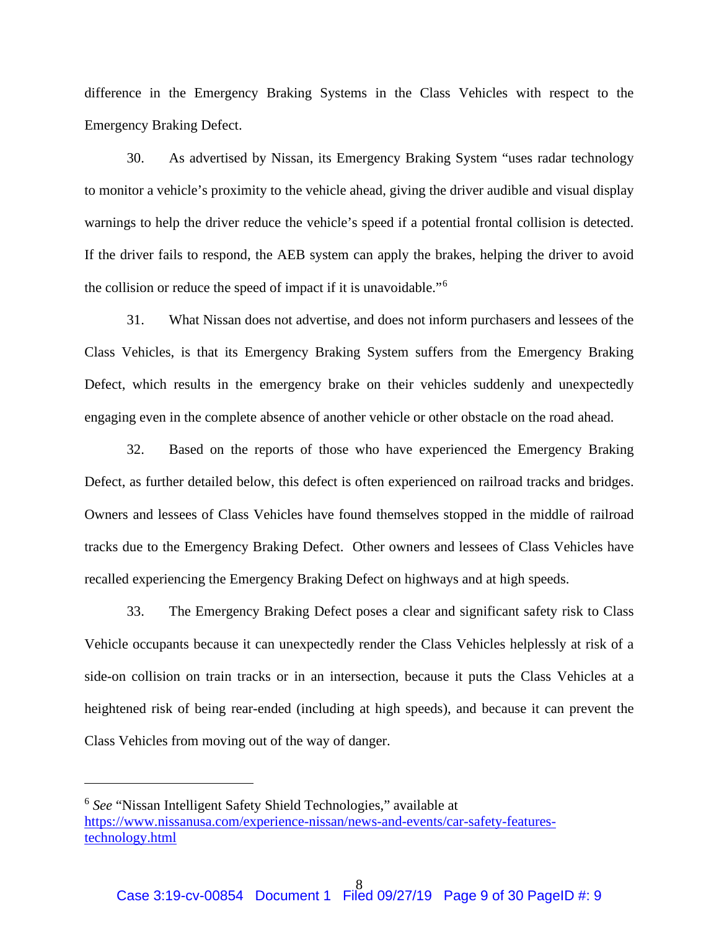difference in the Emergency Braking Systems in the Class Vehicles with respect to the Emergency Braking Defect.

30. As advertised by Nissan, its Emergency Braking System "uses radar technology to monitor a vehicle's proximity to the vehicle ahead, giving the driver audible and visual display warnings to help the driver reduce the vehicle's speed if a potential frontal collision is detected. If the driver fails to respond, the AEB system can apply the brakes, helping the driver to avoid the collision or reduce the speed of impact if it is unavoidable."[6](#page-8-0)

31. What Nissan does not advertise, and does not inform purchasers and lessees of the Class Vehicles, is that its Emergency Braking System suffers from the Emergency Braking Defect, which results in the emergency brake on their vehicles suddenly and unexpectedly engaging even in the complete absence of another vehicle or other obstacle on the road ahead.

32. Based on the reports of those who have experienced the Emergency Braking Defect, as further detailed below, this defect is often experienced on railroad tracks and bridges. Owners and lessees of Class Vehicles have found themselves stopped in the middle of railroad tracks due to the Emergency Braking Defect. Other owners and lessees of Class Vehicles have recalled experiencing the Emergency Braking Defect on highways and at high speeds.

33. The Emergency Braking Defect poses a clear and significant safety risk to Class Vehicle occupants because it can unexpectedly render the Class Vehicles helplessly at risk of a side-on collision on train tracks or in an intersection, because it puts the Class Vehicles at a heightened risk of being rear-ended (including at high speeds), and because it can prevent the Class Vehicles from moving out of the way of danger.

<span id="page-8-0"></span><sup>6</sup> *See* "Nissan Intelligent Safety Shield Technologies," available at [https://www.nissanusa.com/experience-nissan/news-and-events/car-safety-features](https://www.nissanusa.com/experience-nissan/news-and-events/car-safety-features-technology.html)[technology.html](https://www.nissanusa.com/experience-nissan/news-and-events/car-safety-features-technology.html)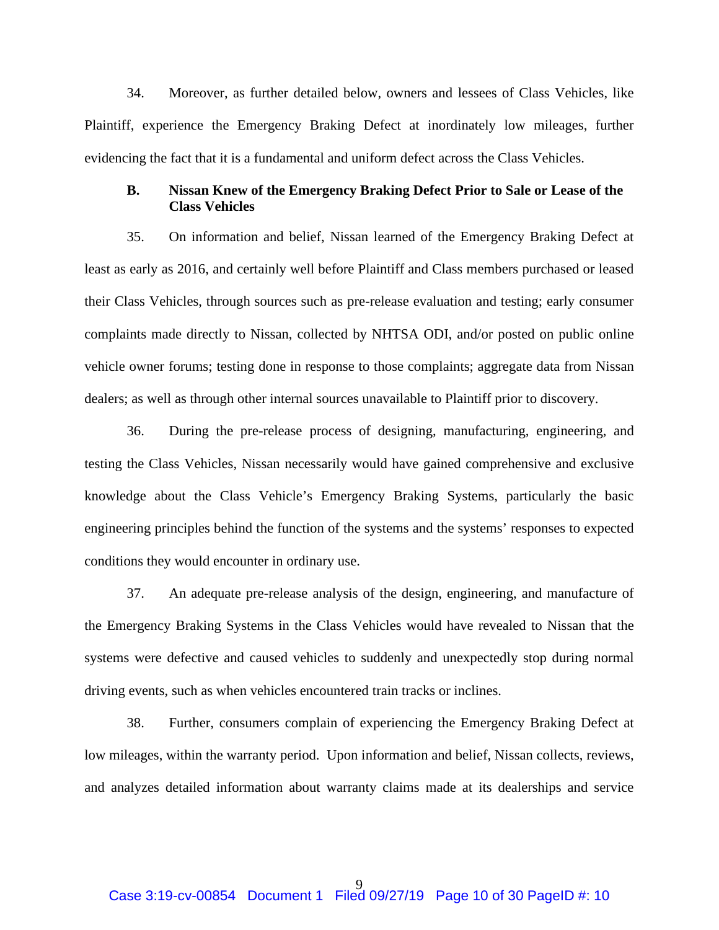34. Moreover, as further detailed below, owners and lessees of Class Vehicles, like Plaintiff, experience the Emergency Braking Defect at inordinately low mileages, further evidencing the fact that it is a fundamental and uniform defect across the Class Vehicles.

## **B. Nissan Knew of the Emergency Braking Defect Prior to Sale or Lease of the Class Vehicles**

35. On information and belief, Nissan learned of the Emergency Braking Defect at least as early as 2016, and certainly well before Plaintiff and Class members purchased or leased their Class Vehicles, through sources such as pre-release evaluation and testing; early consumer complaints made directly to Nissan, collected by NHTSA ODI, and/or posted on public online vehicle owner forums; testing done in response to those complaints; aggregate data from Nissan dealers; as well as through other internal sources unavailable to Plaintiff prior to discovery.

36. During the pre-release process of designing, manufacturing, engineering, and testing the Class Vehicles, Nissan necessarily would have gained comprehensive and exclusive knowledge about the Class Vehicle's Emergency Braking Systems, particularly the basic engineering principles behind the function of the systems and the systems' responses to expected conditions they would encounter in ordinary use.

37. An adequate pre-release analysis of the design, engineering, and manufacture of the Emergency Braking Systems in the Class Vehicles would have revealed to Nissan that the systems were defective and caused vehicles to suddenly and unexpectedly stop during normal driving events, such as when vehicles encountered train tracks or inclines.

38. Further, consumers complain of experiencing the Emergency Braking Defect at low mileages, within the warranty period. Upon information and belief, Nissan collects, reviews, and analyzes detailed information about warranty claims made at its dealerships and service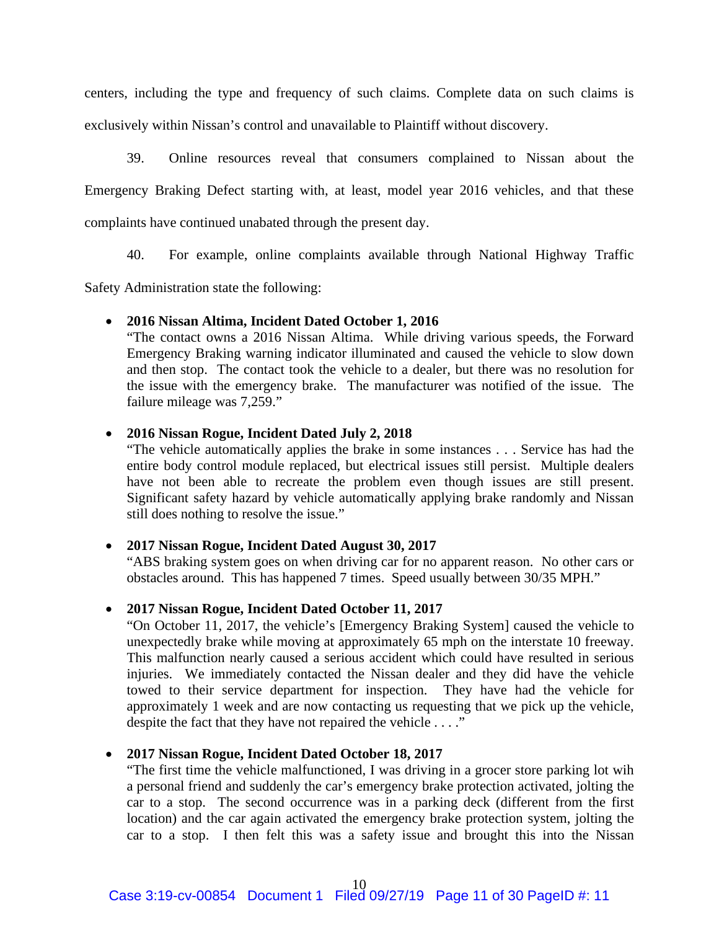centers, including the type and frequency of such claims. Complete data on such claims is exclusively within Nissan's control and unavailable to Plaintiff without discovery.

39. Online resources reveal that consumers complained to Nissan about the Emergency Braking Defect starting with, at least, model year 2016 vehicles, and that these complaints have continued unabated through the present day.

40. For example, online complaints available through National Highway Traffic

Safety Administration state the following:

#### • **2016 Nissan Altima, Incident Dated October 1, 2016**

"The contact owns a 2016 Nissan Altima. While driving various speeds, the Forward Emergency Braking warning indicator illuminated and caused the vehicle to slow down and then stop. The contact took the vehicle to a dealer, but there was no resolution for the issue with the emergency brake. The manufacturer was notified of the issue. The failure mileage was 7,259."

## • **2016 Nissan Rogue, Incident Dated July 2, 2018**

"The vehicle automatically applies the brake in some instances . . . Service has had the entire body control module replaced, but electrical issues still persist. Multiple dealers have not been able to recreate the problem even though issues are still present. Significant safety hazard by vehicle automatically applying brake randomly and Nissan still does nothing to resolve the issue."

#### • **2017 Nissan Rogue, Incident Dated August 30, 2017**

"ABS braking system goes on when driving car for no apparent reason. No other cars or obstacles around. This has happened 7 times. Speed usually between 30/35 MPH."

## • **2017 Nissan Rogue, Incident Dated October 11, 2017**

"On October 11, 2017, the vehicle's [Emergency Braking System] caused the vehicle to unexpectedly brake while moving at approximately 65 mph on the interstate 10 freeway. This malfunction nearly caused a serious accident which could have resulted in serious injuries. We immediately contacted the Nissan dealer and they did have the vehicle towed to their service department for inspection. They have had the vehicle for approximately 1 week and are now contacting us requesting that we pick up the vehicle, despite the fact that they have not repaired the vehicle . . . ."

#### • **2017 Nissan Rogue, Incident Dated October 18, 2017**

"The first time the vehicle malfunctioned, I was driving in a grocer store parking lot wih a personal friend and suddenly the car's emergency brake protection activated, jolting the car to a stop. The second occurrence was in a parking deck (different from the first location) and the car again activated the emergency brake protection system, jolting the car to a stop. I then felt this was a safety issue and brought this into the Nissan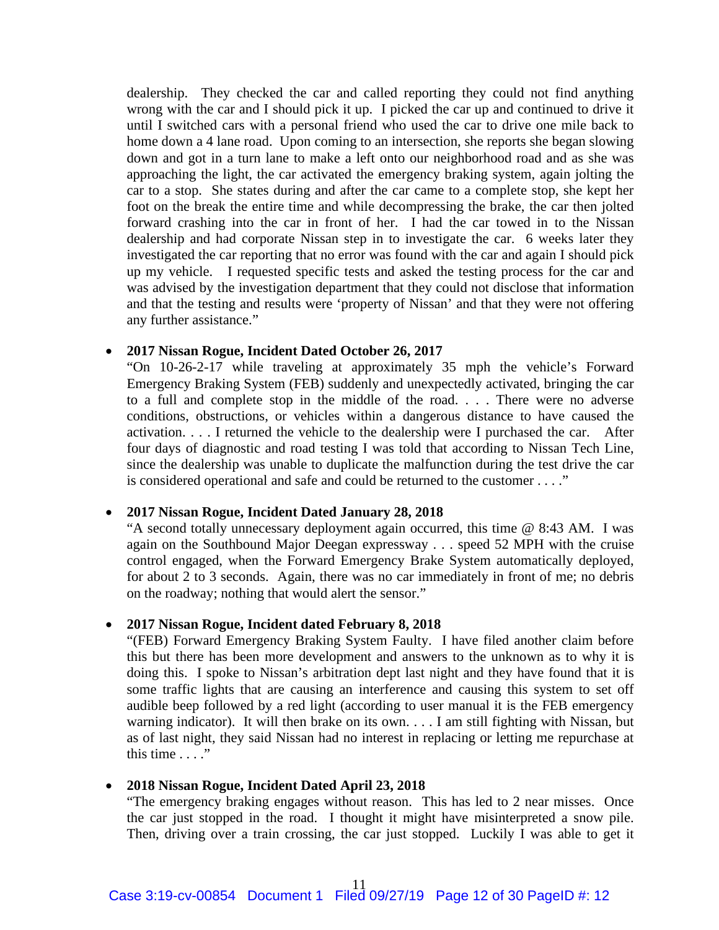dealership. They checked the car and called reporting they could not find anything wrong with the car and I should pick it up. I picked the car up and continued to drive it until I switched cars with a personal friend who used the car to drive one mile back to home down a 4 lane road. Upon coming to an intersection, she reports she began slowing down and got in a turn lane to make a left onto our neighborhood road and as she was approaching the light, the car activated the emergency braking system, again jolting the car to a stop. She states during and after the car came to a complete stop, she kept her foot on the break the entire time and while decompressing the brake, the car then jolted forward crashing into the car in front of her. I had the car towed in to the Nissan dealership and had corporate Nissan step in to investigate the car. 6 weeks later they investigated the car reporting that no error was found with the car and again I should pick up my vehicle. I requested specific tests and asked the testing process for the car and was advised by the investigation department that they could not disclose that information and that the testing and results were 'property of Nissan' and that they were not offering any further assistance."

## • **2017 Nissan Rogue, Incident Dated October 26, 2017**

"On 10-26-2-17 while traveling at approximately 35 mph the vehicle's Forward Emergency Braking System (FEB) suddenly and unexpectedly activated, bringing the car to a full and complete stop in the middle of the road. . . . There were no adverse conditions, obstructions, or vehicles within a dangerous distance to have caused the activation. . . . I returned the vehicle to the dealership were I purchased the car. After four days of diagnostic and road testing I was told that according to Nissan Tech Line, since the dealership was unable to duplicate the malfunction during the test drive the car is considered operational and safe and could be returned to the customer . . . ."

## • **2017 Nissan Rogue, Incident Dated January 28, 2018**

"A second totally unnecessary deployment again occurred, this time @ 8:43 AM. I was again on the Southbound Major Deegan expressway . . . speed 52 MPH with the cruise control engaged, when the Forward Emergency Brake System automatically deployed, for about 2 to 3 seconds. Again, there was no car immediately in front of me; no debris on the roadway; nothing that would alert the sensor."

## • **2017 Nissan Rogue, Incident dated February 8, 2018**

"(FEB) Forward Emergency Braking System Faulty. I have filed another claim before this but there has been more development and answers to the unknown as to why it is doing this. I spoke to Nissan's arbitration dept last night and they have found that it is some traffic lights that are causing an interference and causing this system to set off audible beep followed by a red light (according to user manual it is the FEB emergency warning indicator). It will then brake on its own. . . . I am still fighting with Nissan, but as of last night, they said Nissan had no interest in replacing or letting me repurchase at this time  $\ldots$ ."

## • **2018 Nissan Rogue, Incident Dated April 23, 2018**

"The emergency braking engages without reason. This has led to 2 near misses. Once the car just stopped in the road. I thought it might have misinterpreted a snow pile. Then, driving over a train crossing, the car just stopped. Luckily I was able to get it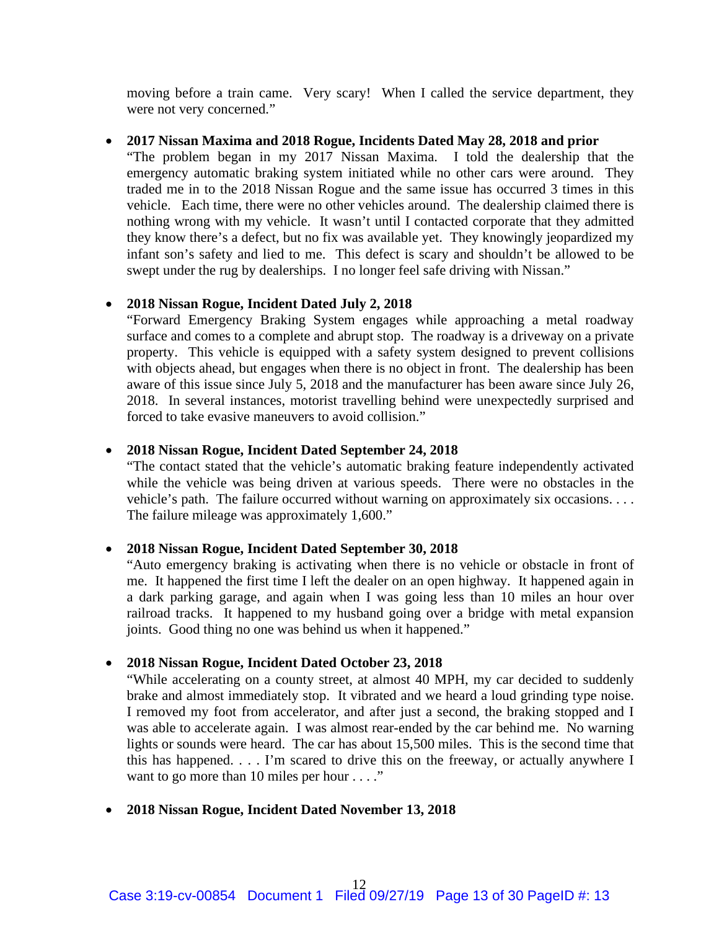moving before a train came. Very scary! When I called the service department, they were not very concerned."

## • **2017 Nissan Maxima and 2018 Rogue, Incidents Dated May 28, 2018 and prior**

"The problem began in my 2017 Nissan Maxima. I told the dealership that the emergency automatic braking system initiated while no other cars were around. They traded me in to the 2018 Nissan Rogue and the same issue has occurred 3 times in this vehicle. Each time, there were no other vehicles around. The dealership claimed there is nothing wrong with my vehicle. It wasn't until I contacted corporate that they admitted they know there's a defect, but no fix was available yet. They knowingly jeopardized my infant son's safety and lied to me. This defect is scary and shouldn't be allowed to be swept under the rug by dealerships. I no longer feel safe driving with Nissan."

## • **2018 Nissan Rogue, Incident Dated July 2, 2018**

"Forward Emergency Braking System engages while approaching a metal roadway surface and comes to a complete and abrupt stop. The roadway is a driveway on a private property. This vehicle is equipped with a safety system designed to prevent collisions with objects ahead, but engages when there is no object in front. The dealership has been aware of this issue since July 5, 2018 and the manufacturer has been aware since July 26, 2018. In several instances, motorist travelling behind were unexpectedly surprised and forced to take evasive maneuvers to avoid collision."

## • **2018 Nissan Rogue, Incident Dated September 24, 2018**

"The contact stated that the vehicle's automatic braking feature independently activated while the vehicle was being driven at various speeds. There were no obstacles in the vehicle's path. The failure occurred without warning on approximately six occasions. . . . The failure mileage was approximately 1,600."

## • **2018 Nissan Rogue, Incident Dated September 30, 2018**

"Auto emergency braking is activating when there is no vehicle or obstacle in front of me. It happened the first time I left the dealer on an open highway. It happened again in a dark parking garage, and again when I was going less than 10 miles an hour over railroad tracks. It happened to my husband going over a bridge with metal expansion joints. Good thing no one was behind us when it happened."

## • **2018 Nissan Rogue, Incident Dated October 23, 2018**

"While accelerating on a county street, at almost 40 MPH, my car decided to suddenly brake and almost immediately stop. It vibrated and we heard a loud grinding type noise. I removed my foot from accelerator, and after just a second, the braking stopped and I was able to accelerate again. I was almost rear-ended by the car behind me. No warning lights or sounds were heard. The car has about 15,500 miles. This is the second time that this has happened. . . . I'm scared to drive this on the freeway, or actually anywhere I want to go more than 10 miles per hour  $\dots$ ."

## • **2018 Nissan Rogue, Incident Dated November 13, 2018**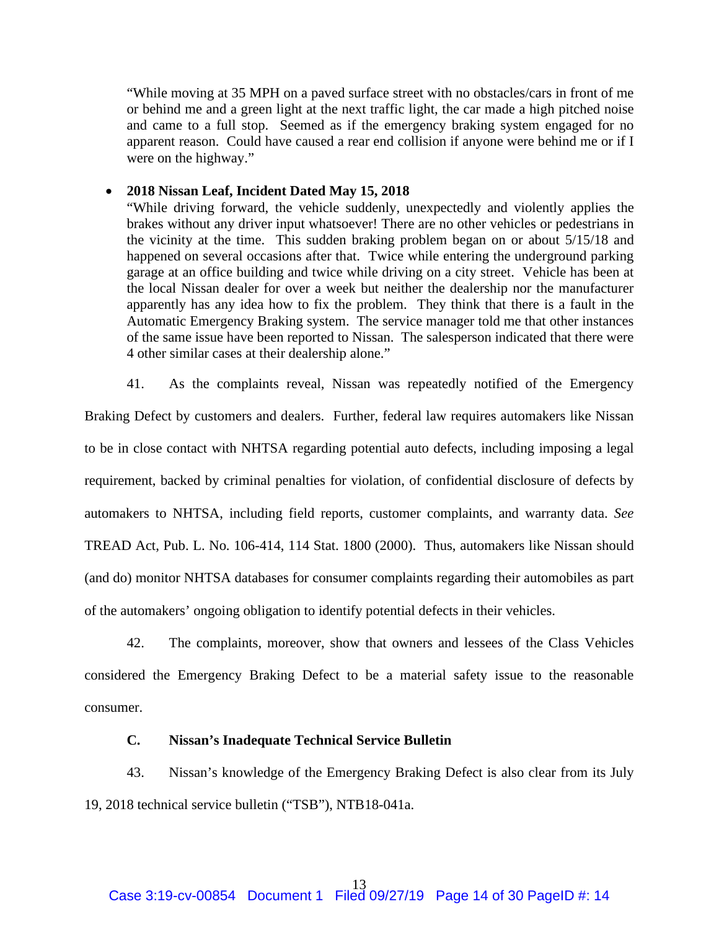"While moving at 35 MPH on a paved surface street with no obstacles/cars in front of me or behind me and a green light at the next traffic light, the car made a high pitched noise and came to a full stop. Seemed as if the emergency braking system engaged for no apparent reason. Could have caused a rear end collision if anyone were behind me or if I were on the highway."

## • **2018 Nissan Leaf, Incident Dated May 15, 2018**

"While driving forward, the vehicle suddenly, unexpectedly and violently applies the brakes without any driver input whatsoever! There are no other vehicles or pedestrians in the vicinity at the time. This sudden braking problem began on or about 5/15/18 and happened on several occasions after that. Twice while entering the underground parking garage at an office building and twice while driving on a city street. Vehicle has been at the local Nissan dealer for over a week but neither the dealership nor the manufacturer apparently has any idea how to fix the problem. They think that there is a fault in the Automatic Emergency Braking system. The service manager told me that other instances of the same issue have been reported to Nissan. The salesperson indicated that there were 4 other similar cases at their dealership alone."

41. As the complaints reveal, Nissan was repeatedly notified of the Emergency

Braking Defect by customers and dealers. Further, federal law requires automakers like Nissan to be in close contact with NHTSA regarding potential auto defects, including imposing a legal requirement, backed by criminal penalties for violation, of confidential disclosure of defects by automakers to NHTSA, including field reports, customer complaints, and warranty data. *See* TREAD Act, Pub. L. No. 106-414, 114 Stat. 1800 (2000). Thus, automakers like Nissan should (and do) monitor NHTSA databases for consumer complaints regarding their automobiles as part of the automakers' ongoing obligation to identify potential defects in their vehicles.

42. The complaints, moreover, show that owners and lessees of the Class Vehicles considered the Emergency Braking Defect to be a material safety issue to the reasonable consumer.

## **C. Nissan's Inadequate Technical Service Bulletin**

43. Nissan's knowledge of the Emergency Braking Defect is also clear from its July 19, 2018 technical service bulletin ("TSB"), NTB18-041a.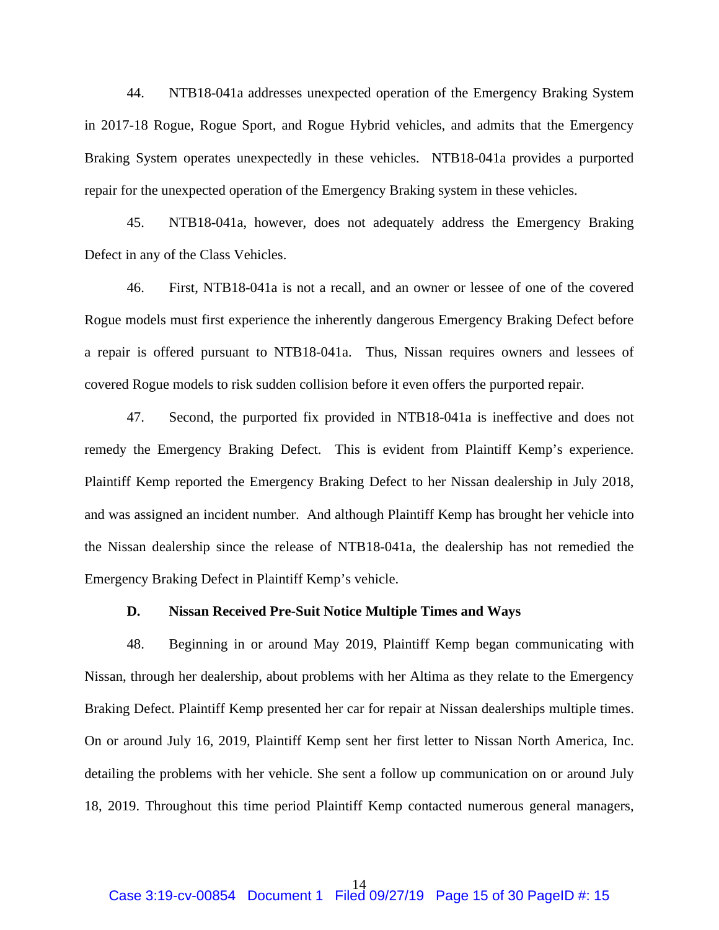44. NTB18-041a addresses unexpected operation of the Emergency Braking System in 2017-18 Rogue, Rogue Sport, and Rogue Hybrid vehicles, and admits that the Emergency Braking System operates unexpectedly in these vehicles. NTB18-041a provides a purported repair for the unexpected operation of the Emergency Braking system in these vehicles.

45. NTB18-041a, however, does not adequately address the Emergency Braking Defect in any of the Class Vehicles.

46. First, NTB18-041a is not a recall, and an owner or lessee of one of the covered Rogue models must first experience the inherently dangerous Emergency Braking Defect before a repair is offered pursuant to NTB18-041a. Thus, Nissan requires owners and lessees of covered Rogue models to risk sudden collision before it even offers the purported repair.

47. Second, the purported fix provided in NTB18-041a is ineffective and does not remedy the Emergency Braking Defect. This is evident from Plaintiff Kemp's experience. Plaintiff Kemp reported the Emergency Braking Defect to her Nissan dealership in July 2018, and was assigned an incident number. And although Plaintiff Kemp has brought her vehicle into the Nissan dealership since the release of NTB18-041a, the dealership has not remedied the Emergency Braking Defect in Plaintiff Kemp's vehicle.

## **D. Nissan Received Pre-Suit Notice Multiple Times and Ways**

48. Beginning in or around May 2019, Plaintiff Kemp began communicating with Nissan, through her dealership, about problems with her Altima as they relate to the Emergency Braking Defect. Plaintiff Kemp presented her car for repair at Nissan dealerships multiple times. On or around July 16, 2019, Plaintiff Kemp sent her first letter to Nissan North America, Inc. detailing the problems with her vehicle. She sent a follow up communication on or around July 18, 2019. Throughout this time period Plaintiff Kemp contacted numerous general managers,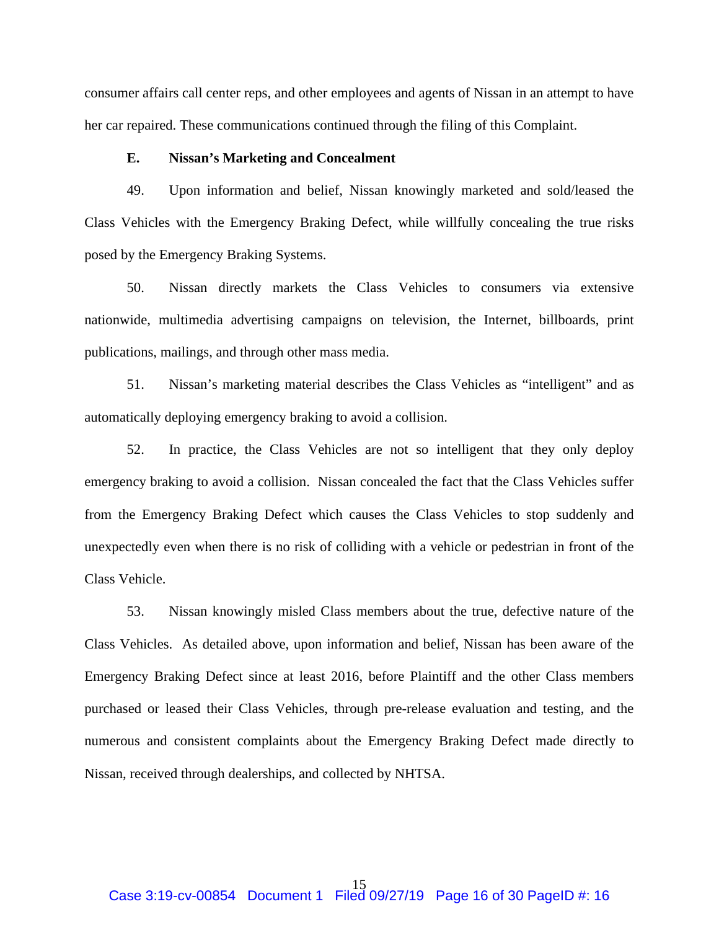consumer affairs call center reps, and other employees and agents of Nissan in an attempt to have her car repaired. These communications continued through the filing of this Complaint.

#### **E. Nissan's Marketing and Concealment**

49. Upon information and belief, Nissan knowingly marketed and sold/leased the Class Vehicles with the Emergency Braking Defect, while willfully concealing the true risks posed by the Emergency Braking Systems.

50. Nissan directly markets the Class Vehicles to consumers via extensive nationwide, multimedia advertising campaigns on television, the Internet, billboards, print publications, mailings, and through other mass media.

51. Nissan's marketing material describes the Class Vehicles as "intelligent" and as automatically deploying emergency braking to avoid a collision.

52. In practice, the Class Vehicles are not so intelligent that they only deploy emergency braking to avoid a collision. Nissan concealed the fact that the Class Vehicles suffer from the Emergency Braking Defect which causes the Class Vehicles to stop suddenly and unexpectedly even when there is no risk of colliding with a vehicle or pedestrian in front of the Class Vehicle.

53. Nissan knowingly misled Class members about the true, defective nature of the Class Vehicles. As detailed above, upon information and belief, Nissan has been aware of the Emergency Braking Defect since at least 2016, before Plaintiff and the other Class members purchased or leased their Class Vehicles, through pre-release evaluation and testing, and the numerous and consistent complaints about the Emergency Braking Defect made directly to Nissan, received through dealerships, and collected by NHTSA.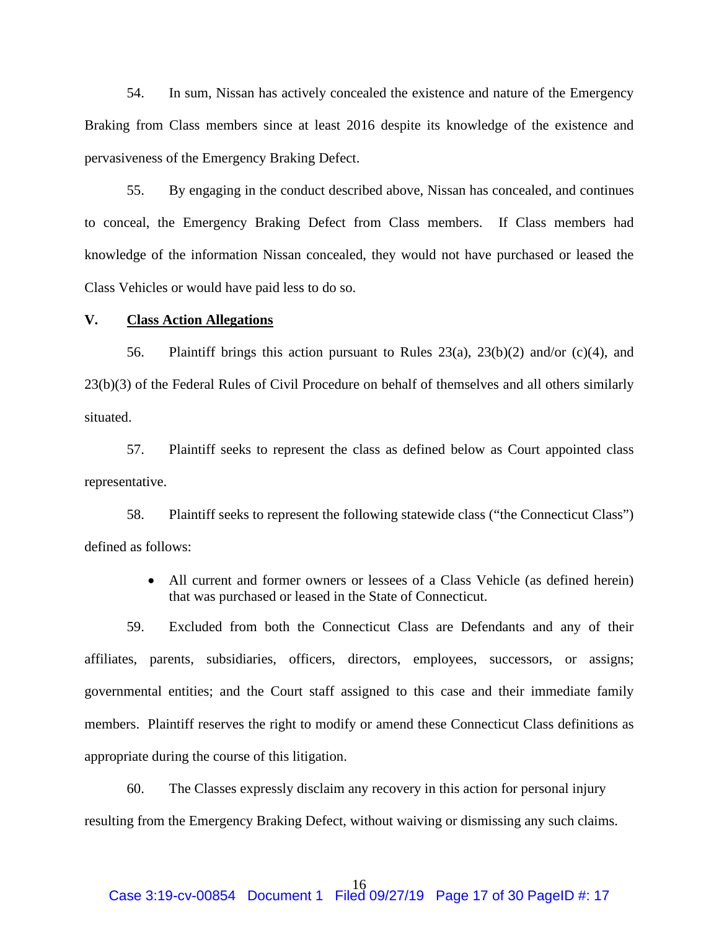54. In sum, Nissan has actively concealed the existence and nature of the Emergency Braking from Class members since at least 2016 despite its knowledge of the existence and pervasiveness of the Emergency Braking Defect.

55. By engaging in the conduct described above, Nissan has concealed, and continues to conceal, the Emergency Braking Defect from Class members. If Class members had knowledge of the information Nissan concealed, they would not have purchased or leased the Class Vehicles or would have paid less to do so.

## **V. Class Action Allegations**

56. Plaintiff brings this action pursuant to Rules  $23(a)$ ,  $23(b)(2)$  and/or (c)(4), and 23(b)(3) of the Federal Rules of Civil Procedure on behalf of themselves and all others similarly situated.

57. Plaintiff seeks to represent the class as defined below as Court appointed class representative.

58. Plaintiff seeks to represent the following statewide class ("the Connecticut Class") defined as follows:

> • All current and former owners or lessees of a Class Vehicle (as defined herein) that was purchased or leased in the State of Connecticut.

59. Excluded from both the Connecticut Class are Defendants and any of their affiliates, parents, subsidiaries, officers, directors, employees, successors, or assigns; governmental entities; and the Court staff assigned to this case and their immediate family members. Plaintiff reserves the right to modify or amend these Connecticut Class definitions as appropriate during the course of this litigation.

60. The Classes expressly disclaim any recovery in this action for personal injury resulting from the Emergency Braking Defect, without waiving or dismissing any such claims.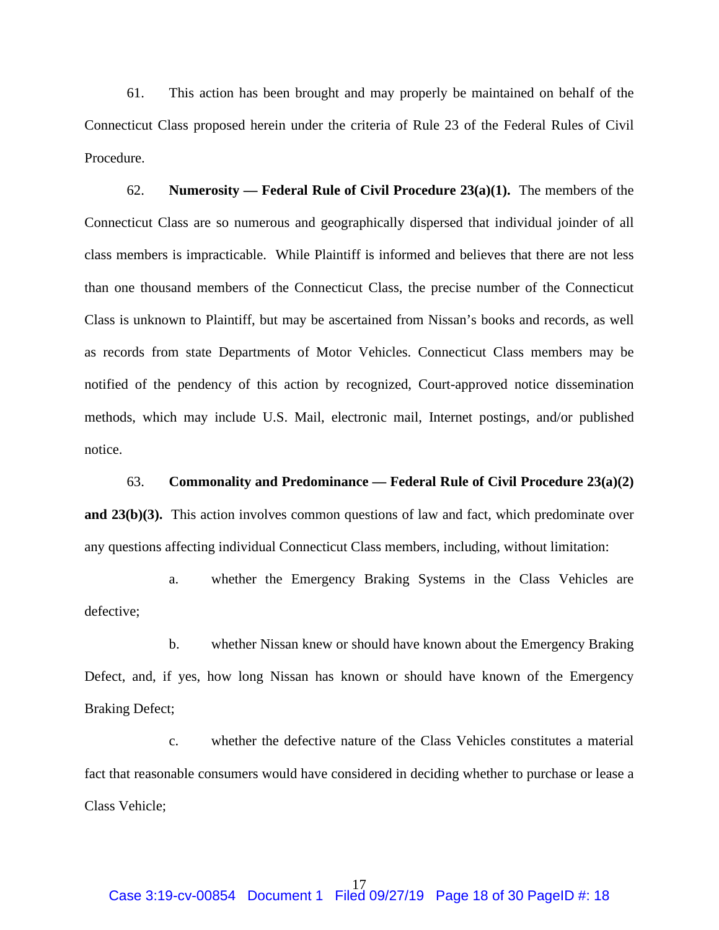61. This action has been brought and may properly be maintained on behalf of the Connecticut Class proposed herein under the criteria of Rule 23 of the Federal Rules of Civil Procedure.

62. **Numerosity — Federal Rule of Civil Procedure 23(a)(1).** The members of the Connecticut Class are so numerous and geographically dispersed that individual joinder of all class members is impracticable. While Plaintiff is informed and believes that there are not less than one thousand members of the Connecticut Class, the precise number of the Connecticut Class is unknown to Plaintiff, but may be ascertained from Nissan's books and records, as well as records from state Departments of Motor Vehicles. Connecticut Class members may be notified of the pendency of this action by recognized, Court-approved notice dissemination methods, which may include U.S. Mail, electronic mail, Internet postings, and/or published notice.

#### 63. **Commonality and Predominance — Federal Rule of Civil Procedure 23(a)(2)**

**and 23(b)(3).** This action involves common questions of law and fact, which predominate over any questions affecting individual Connecticut Class members, including, without limitation:

a. whether the Emergency Braking Systems in the Class Vehicles are defective;

b. whether Nissan knew or should have known about the Emergency Braking Defect, and, if yes, how long Nissan has known or should have known of the Emergency Braking Defect;

c. whether the defective nature of the Class Vehicles constitutes a material fact that reasonable consumers would have considered in deciding whether to purchase or lease a Class Vehicle;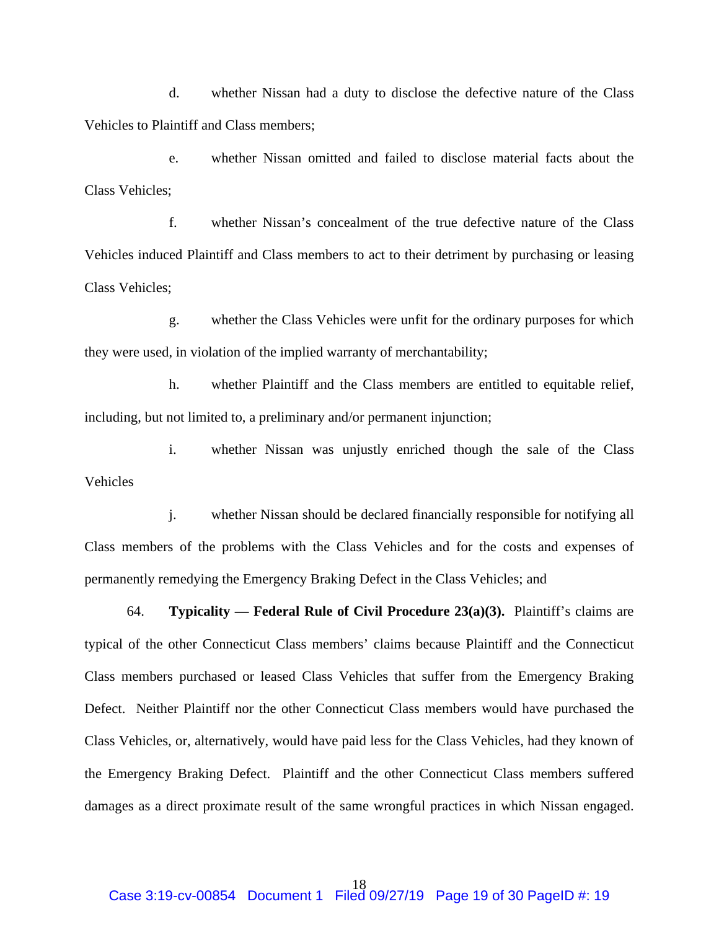d. whether Nissan had a duty to disclose the defective nature of the Class Vehicles to Plaintiff and Class members;

e. whether Nissan omitted and failed to disclose material facts about the Class Vehicles;

f. whether Nissan's concealment of the true defective nature of the Class Vehicles induced Plaintiff and Class members to act to their detriment by purchasing or leasing Class Vehicles;

g. whether the Class Vehicles were unfit for the ordinary purposes for which they were used, in violation of the implied warranty of merchantability;

h. whether Plaintiff and the Class members are entitled to equitable relief, including, but not limited to, a preliminary and/or permanent injunction;

i. whether Nissan was unjustly enriched though the sale of the Class Vehicles

j. whether Nissan should be declared financially responsible for notifying all Class members of the problems with the Class Vehicles and for the costs and expenses of permanently remedying the Emergency Braking Defect in the Class Vehicles; and

64. **Typicality — Federal Rule of Civil Procedure 23(a)(3).** Plaintiff's claims are typical of the other Connecticut Class members' claims because Plaintiff and the Connecticut Class members purchased or leased Class Vehicles that suffer from the Emergency Braking Defect. Neither Plaintiff nor the other Connecticut Class members would have purchased the Class Vehicles, or, alternatively, would have paid less for the Class Vehicles, had they known of the Emergency Braking Defect. Plaintiff and the other Connecticut Class members suffered damages as a direct proximate result of the same wrongful practices in which Nissan engaged.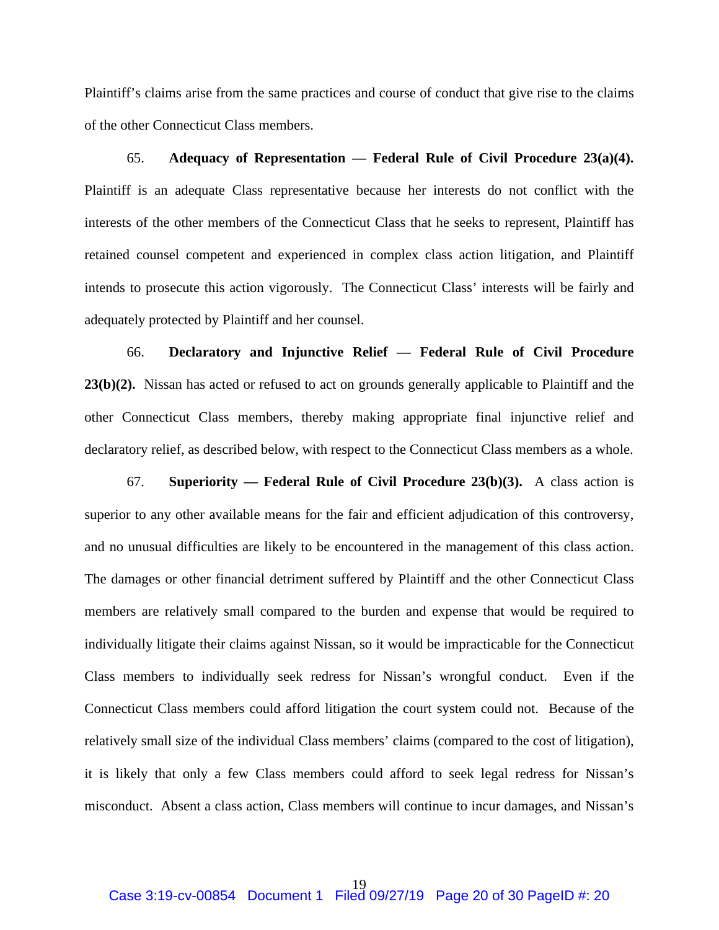Plaintiff's claims arise from the same practices and course of conduct that give rise to the claims of the other Connecticut Class members.

65. **Adequacy of Representation — Federal Rule of Civil Procedure 23(a)(4).**  Plaintiff is an adequate Class representative because her interests do not conflict with the interests of the other members of the Connecticut Class that he seeks to represent, Plaintiff has retained counsel competent and experienced in complex class action litigation, and Plaintiff intends to prosecute this action vigorously. The Connecticut Class' interests will be fairly and adequately protected by Plaintiff and her counsel.

66. **Declaratory and Injunctive Relief — Federal Rule of Civil Procedure 23(b)(2).** Nissan has acted or refused to act on grounds generally applicable to Plaintiff and the other Connecticut Class members, thereby making appropriate final injunctive relief and declaratory relief, as described below, with respect to the Connecticut Class members as a whole.

67. **Superiority — Federal Rule of Civil Procedure 23(b)(3).** A class action is superior to any other available means for the fair and efficient adjudication of this controversy, and no unusual difficulties are likely to be encountered in the management of this class action. The damages or other financial detriment suffered by Plaintiff and the other Connecticut Class members are relatively small compared to the burden and expense that would be required to individually litigate their claims against Nissan, so it would be impracticable for the Connecticut Class members to individually seek redress for Nissan's wrongful conduct. Even if the Connecticut Class members could afford litigation the court system could not. Because of the relatively small size of the individual Class members' claims (compared to the cost of litigation), it is likely that only a few Class members could afford to seek legal redress for Nissan's misconduct. Absent a class action, Class members will continue to incur damages, and Nissan's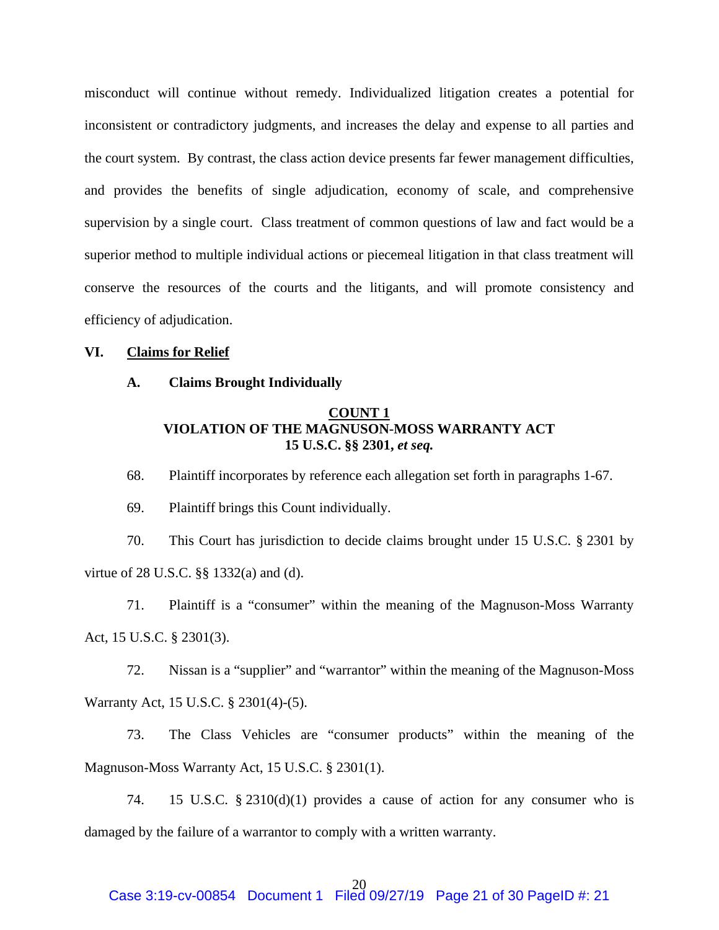misconduct will continue without remedy. Individualized litigation creates a potential for inconsistent or contradictory judgments, and increases the delay and expense to all parties and the court system. By contrast, the class action device presents far fewer management difficulties, and provides the benefits of single adjudication, economy of scale, and comprehensive supervision by a single court. Class treatment of common questions of law and fact would be a superior method to multiple individual actions or piecemeal litigation in that class treatment will conserve the resources of the courts and the litigants, and will promote consistency and efficiency of adjudication.

#### **VI. Claims for Relief**

**A. Claims Brought Individually**

## **COUNT 1 VIOLATION OF THE MAGNUSON-MOSS WARRANTY ACT 15 U.S.C. §§ 2301,** *et seq.*

68. Plaintiff incorporates by reference each allegation set forth in paragraphs 1-67.

69. Plaintiff brings this Count individually.

70. This Court has jurisdiction to decide claims brought under 15 U.S.C. § 2301 by virtue of 28 U.S.C. §§ 1332(a) and (d).

71. Plaintiff is a "consumer" within the meaning of the Magnuson-Moss Warranty Act, 15 U.S.C. § 2301(3).

72. Nissan is a "supplier" and "warrantor" within the meaning of the Magnuson-Moss Warranty Act, 15 U.S.C. § 2301(4)-(5).

73. The Class Vehicles are "consumer products" within the meaning of the Magnuson-Moss Warranty Act, 15 U.S.C. § 2301(1).

74. 15 U.S.C. § 2310(d)(1) provides a cause of action for any consumer who is damaged by the failure of a warrantor to comply with a written warranty.

## 20

## Case 3:19-cv-00854 Document 1 Filed 09/27/19 Page 21 of 30 PageID #: 21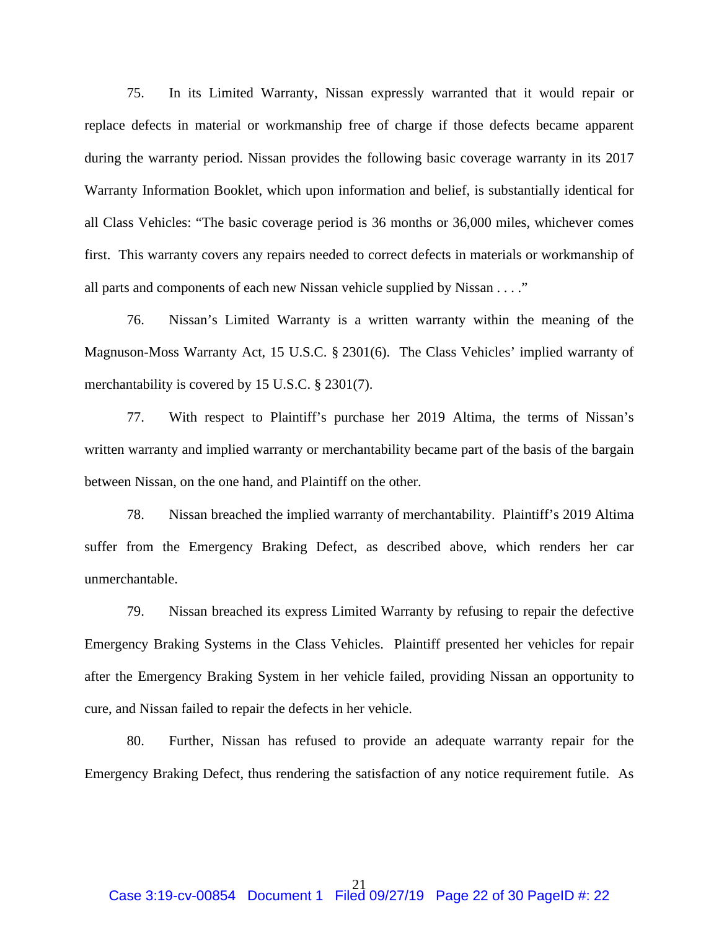75. In its Limited Warranty, Nissan expressly warranted that it would repair or replace defects in material or workmanship free of charge if those defects became apparent during the warranty period. Nissan provides the following basic coverage warranty in its 2017 Warranty Information Booklet, which upon information and belief, is substantially identical for all Class Vehicles: "The basic coverage period is 36 months or 36,000 miles, whichever comes first. This warranty covers any repairs needed to correct defects in materials or workmanship of all parts and components of each new Nissan vehicle supplied by Nissan . . . ."

76. Nissan's Limited Warranty is a written warranty within the meaning of the Magnuson-Moss Warranty Act, 15 U.S.C. § 2301(6). The Class Vehicles' implied warranty of merchantability is covered by 15 U.S.C. § 2301(7).

77. With respect to Plaintiff's purchase her 2019 Altima, the terms of Nissan's written warranty and implied warranty or merchantability became part of the basis of the bargain between Nissan, on the one hand, and Plaintiff on the other.

78. Nissan breached the implied warranty of merchantability. Plaintiff's 2019 Altima suffer from the Emergency Braking Defect, as described above, which renders her car unmerchantable.

79. Nissan breached its express Limited Warranty by refusing to repair the defective Emergency Braking Systems in the Class Vehicles. Plaintiff presented her vehicles for repair after the Emergency Braking System in her vehicle failed, providing Nissan an opportunity to cure, and Nissan failed to repair the defects in her vehicle.

80. Further, Nissan has refused to provide an adequate warranty repair for the Emergency Braking Defect, thus rendering the satisfaction of any notice requirement futile. As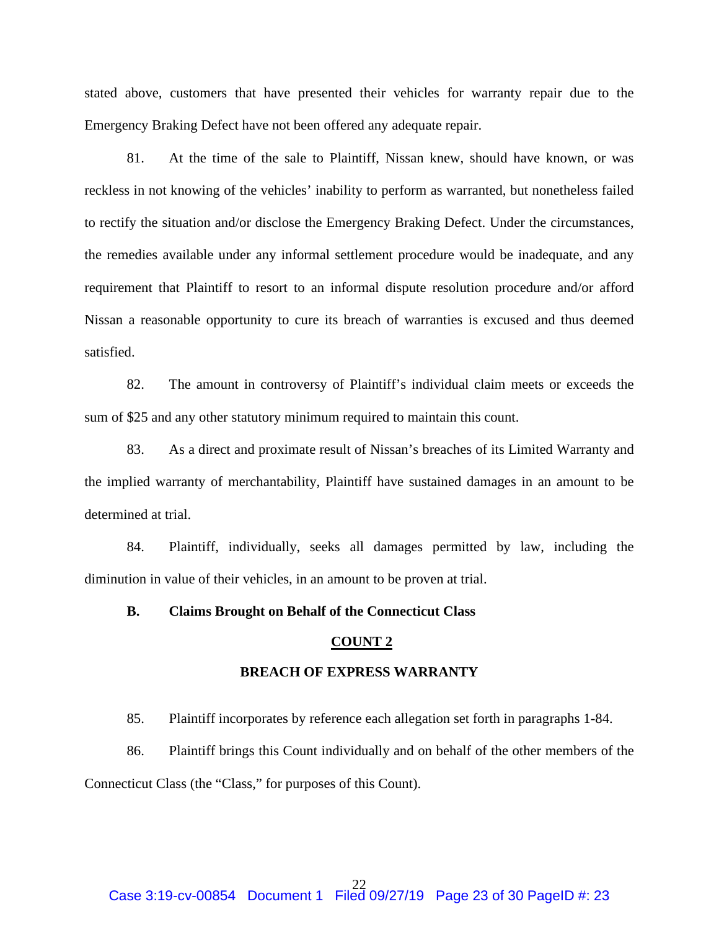stated above, customers that have presented their vehicles for warranty repair due to the Emergency Braking Defect have not been offered any adequate repair.

81. At the time of the sale to Plaintiff, Nissan knew, should have known, or was reckless in not knowing of the vehicles' inability to perform as warranted, but nonetheless failed to rectify the situation and/or disclose the Emergency Braking Defect. Under the circumstances, the remedies available under any informal settlement procedure would be inadequate, and any requirement that Plaintiff to resort to an informal dispute resolution procedure and/or afford Nissan a reasonable opportunity to cure its breach of warranties is excused and thus deemed satisfied.

82. The amount in controversy of Plaintiff's individual claim meets or exceeds the sum of \$25 and any other statutory minimum required to maintain this count.

83. As a direct and proximate result of Nissan's breaches of its Limited Warranty and the implied warranty of merchantability, Plaintiff have sustained damages in an amount to be determined at trial.

84. Plaintiff, individually, seeks all damages permitted by law, including the diminution in value of their vehicles, in an amount to be proven at trial.

#### **B. Claims Brought on Behalf of the Connecticut Class**

#### **COUNT 2**

## **BREACH OF EXPRESS WARRANTY**

85. Plaintiff incorporates by reference each allegation set forth in paragraphs 1-84.

86. Plaintiff brings this Count individually and on behalf of the other members of the Connecticut Class (the "Class," for purposes of this Count).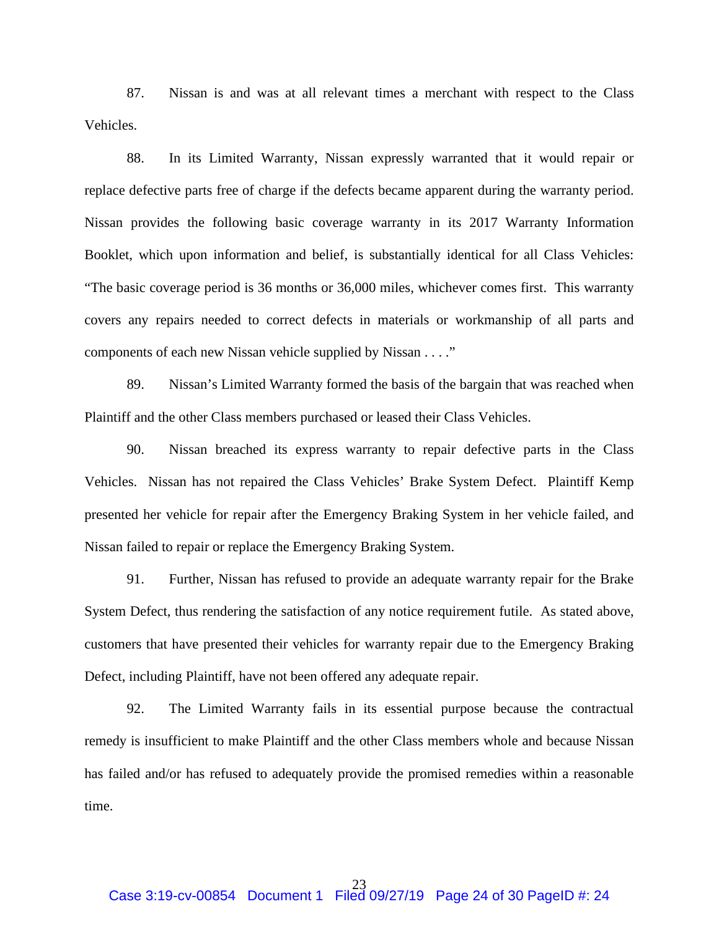87. Nissan is and was at all relevant times a merchant with respect to the Class Vehicles.

88. In its Limited Warranty, Nissan expressly warranted that it would repair or replace defective parts free of charge if the defects became apparent during the warranty period. Nissan provides the following basic coverage warranty in its 2017 Warranty Information Booklet, which upon information and belief, is substantially identical for all Class Vehicles: "The basic coverage period is 36 months or 36,000 miles, whichever comes first. This warranty covers any repairs needed to correct defects in materials or workmanship of all parts and components of each new Nissan vehicle supplied by Nissan . . . ."

89. Nissan's Limited Warranty formed the basis of the bargain that was reached when Plaintiff and the other Class members purchased or leased their Class Vehicles.

90. Nissan breached its express warranty to repair defective parts in the Class Vehicles. Nissan has not repaired the Class Vehicles' Brake System Defect. Plaintiff Kemp presented her vehicle for repair after the Emergency Braking System in her vehicle failed, and Nissan failed to repair or replace the Emergency Braking System.

91. Further, Nissan has refused to provide an adequate warranty repair for the Brake System Defect, thus rendering the satisfaction of any notice requirement futile. As stated above, customers that have presented their vehicles for warranty repair due to the Emergency Braking Defect, including Plaintiff, have not been offered any adequate repair.

92. The Limited Warranty fails in its essential purpose because the contractual remedy is insufficient to make Plaintiff and the other Class members whole and because Nissan has failed and/or has refused to adequately provide the promised remedies within a reasonable time.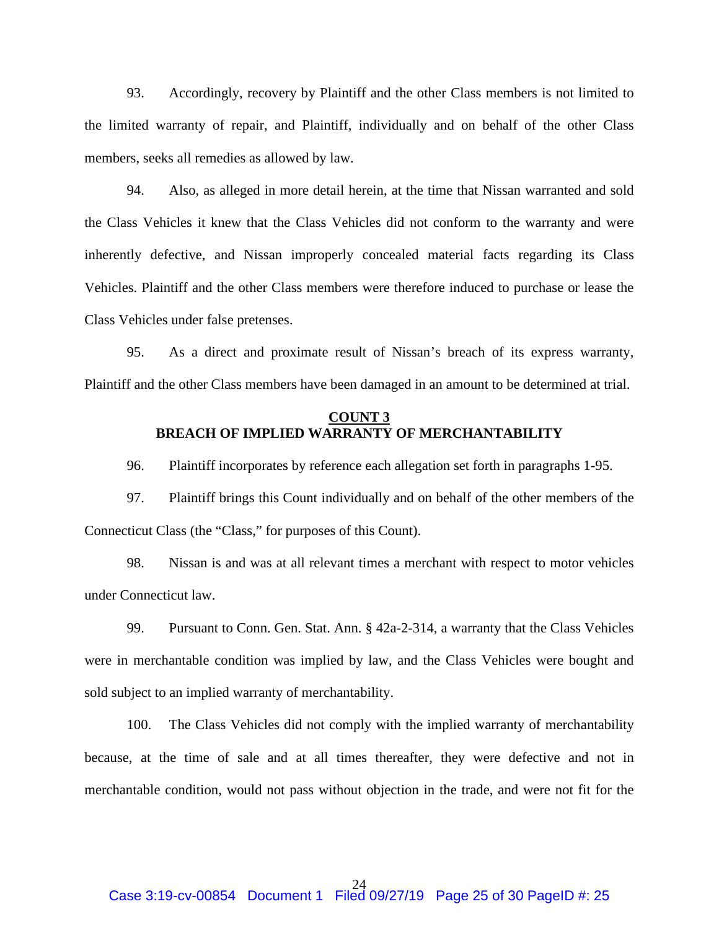93. Accordingly, recovery by Plaintiff and the other Class members is not limited to the limited warranty of repair, and Plaintiff, individually and on behalf of the other Class members, seeks all remedies as allowed by law.

94. Also, as alleged in more detail herein, at the time that Nissan warranted and sold the Class Vehicles it knew that the Class Vehicles did not conform to the warranty and were inherently defective, and Nissan improperly concealed material facts regarding its Class Vehicles. Plaintiff and the other Class members were therefore induced to purchase or lease the Class Vehicles under false pretenses.

95. As a direct and proximate result of Nissan's breach of its express warranty, Plaintiff and the other Class members have been damaged in an amount to be determined at trial.

## **COUNT 3 BREACH OF IMPLIED WARRANTY OF MERCHANTABILITY**

96. Plaintiff incorporates by reference each allegation set forth in paragraphs 1-95.

97. Plaintiff brings this Count individually and on behalf of the other members of the Connecticut Class (the "Class," for purposes of this Count).

98. Nissan is and was at all relevant times a merchant with respect to motor vehicles under Connecticut law.

99. Pursuant to Conn. Gen. Stat. Ann. § 42a-2-314, a warranty that the Class Vehicles were in merchantable condition was implied by law, and the Class Vehicles were bought and sold subject to an implied warranty of merchantability.

100. The Class Vehicles did not comply with the implied warranty of merchantability because, at the time of sale and at all times thereafter, they were defective and not in merchantable condition, would not pass without objection in the trade, and were not fit for the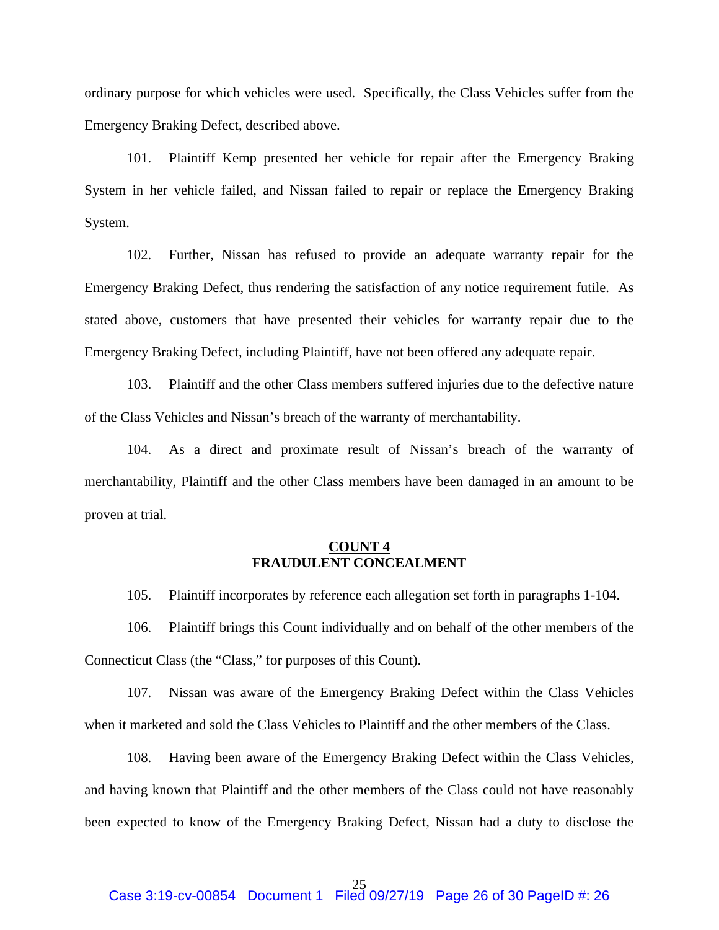ordinary purpose for which vehicles were used. Specifically, the Class Vehicles suffer from the Emergency Braking Defect, described above.

101. Plaintiff Kemp presented her vehicle for repair after the Emergency Braking System in her vehicle failed, and Nissan failed to repair or replace the Emergency Braking System.

102. Further, Nissan has refused to provide an adequate warranty repair for the Emergency Braking Defect, thus rendering the satisfaction of any notice requirement futile. As stated above, customers that have presented their vehicles for warranty repair due to the Emergency Braking Defect, including Plaintiff, have not been offered any adequate repair.

103. Plaintiff and the other Class members suffered injuries due to the defective nature of the Class Vehicles and Nissan's breach of the warranty of merchantability.

104. As a direct and proximate result of Nissan's breach of the warranty of merchantability, Plaintiff and the other Class members have been damaged in an amount to be proven at trial.

## **COUNT 4 FRAUDULENT CONCEALMENT**

105. Plaintiff incorporates by reference each allegation set forth in paragraphs 1-104.

106. Plaintiff brings this Count individually and on behalf of the other members of the Connecticut Class (the "Class," for purposes of this Count).

107. Nissan was aware of the Emergency Braking Defect within the Class Vehicles when it marketed and sold the Class Vehicles to Plaintiff and the other members of the Class.

108. Having been aware of the Emergency Braking Defect within the Class Vehicles, and having known that Plaintiff and the other members of the Class could not have reasonably been expected to know of the Emergency Braking Defect, Nissan had a duty to disclose the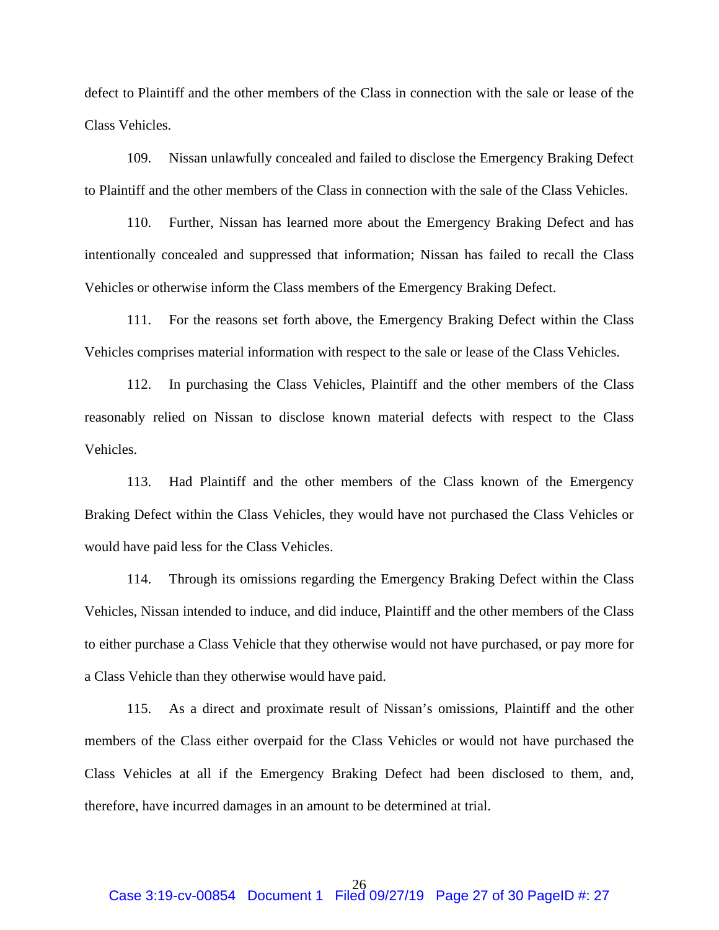defect to Plaintiff and the other members of the Class in connection with the sale or lease of the Class Vehicles.

109. Nissan unlawfully concealed and failed to disclose the Emergency Braking Defect to Plaintiff and the other members of the Class in connection with the sale of the Class Vehicles.

110. Further, Nissan has learned more about the Emergency Braking Defect and has intentionally concealed and suppressed that information; Nissan has failed to recall the Class Vehicles or otherwise inform the Class members of the Emergency Braking Defect.

111. For the reasons set forth above, the Emergency Braking Defect within the Class Vehicles comprises material information with respect to the sale or lease of the Class Vehicles.

112. In purchasing the Class Vehicles, Plaintiff and the other members of the Class reasonably relied on Nissan to disclose known material defects with respect to the Class Vehicles.

113. Had Plaintiff and the other members of the Class known of the Emergency Braking Defect within the Class Vehicles, they would have not purchased the Class Vehicles or would have paid less for the Class Vehicles.

114. Through its omissions regarding the Emergency Braking Defect within the Class Vehicles, Nissan intended to induce, and did induce, Plaintiff and the other members of the Class to either purchase a Class Vehicle that they otherwise would not have purchased, or pay more for a Class Vehicle than they otherwise would have paid.

115. As a direct and proximate result of Nissan's omissions, Plaintiff and the other members of the Class either overpaid for the Class Vehicles or would not have purchased the Class Vehicles at all if the Emergency Braking Defect had been disclosed to them, and, therefore, have incurred damages in an amount to be determined at trial.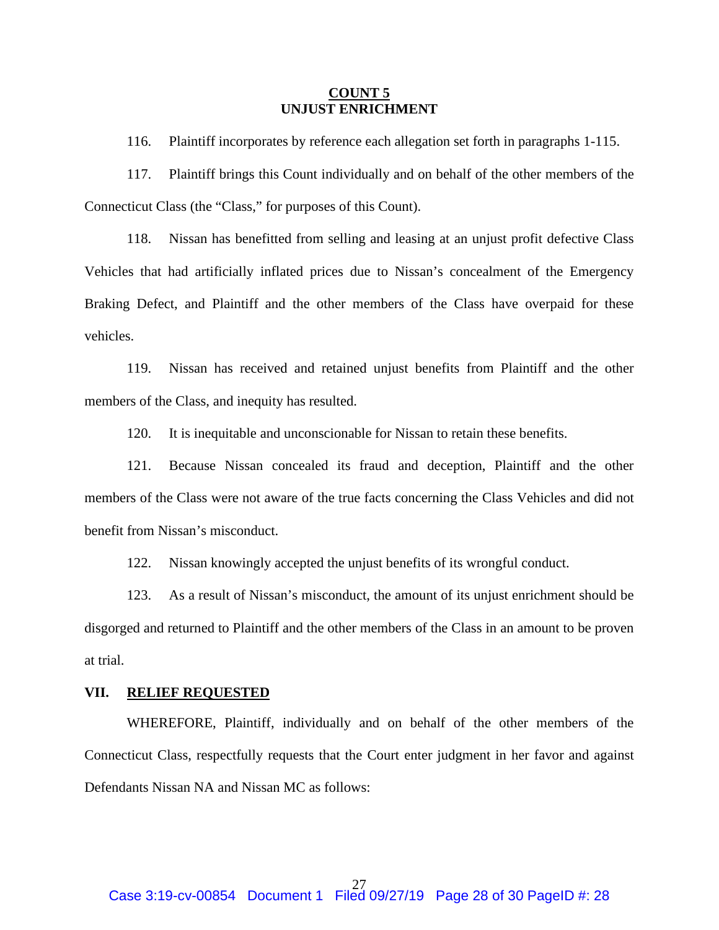#### **COUNT 5 UNJUST ENRICHMENT**

116. Plaintiff incorporates by reference each allegation set forth in paragraphs 1-115.

117. Plaintiff brings this Count individually and on behalf of the other members of the Connecticut Class (the "Class," for purposes of this Count).

118. Nissan has benefitted from selling and leasing at an unjust profit defective Class Vehicles that had artificially inflated prices due to Nissan's concealment of the Emergency Braking Defect, and Plaintiff and the other members of the Class have overpaid for these vehicles.

119. Nissan has received and retained unjust benefits from Plaintiff and the other members of the Class, and inequity has resulted.

120. It is inequitable and unconscionable for Nissan to retain these benefits.

121. Because Nissan concealed its fraud and deception, Plaintiff and the other members of the Class were not aware of the true facts concerning the Class Vehicles and did not benefit from Nissan's misconduct.

122. Nissan knowingly accepted the unjust benefits of its wrongful conduct.

123. As a result of Nissan's misconduct, the amount of its unjust enrichment should be disgorged and returned to Plaintiff and the other members of the Class in an amount to be proven at trial.

## **VII. RELIEF REQUESTED**

WHEREFORE, Plaintiff, individually and on behalf of the other members of the Connecticut Class, respectfully requests that the Court enter judgment in her favor and against Defendants Nissan NA and Nissan MC as follows: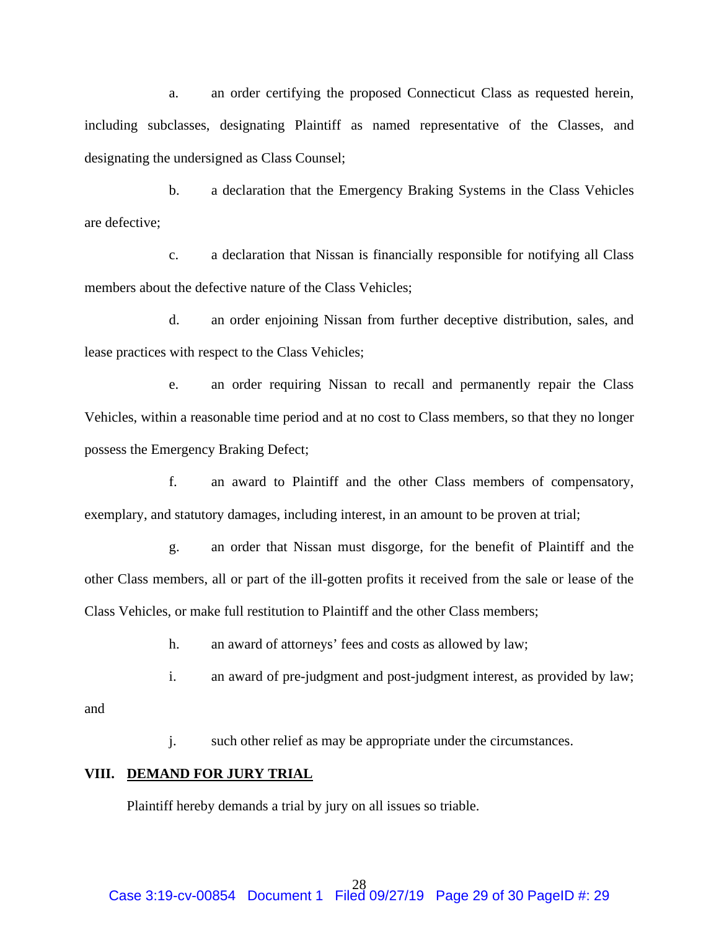a. an order certifying the proposed Connecticut Class as requested herein, including subclasses, designating Plaintiff as named representative of the Classes, and designating the undersigned as Class Counsel;

b. a declaration that the Emergency Braking Systems in the Class Vehicles are defective;

c. a declaration that Nissan is financially responsible for notifying all Class members about the defective nature of the Class Vehicles;

d. an order enjoining Nissan from further deceptive distribution, sales, and lease practices with respect to the Class Vehicles;

e. an order requiring Nissan to recall and permanently repair the Class Vehicles, within a reasonable time period and at no cost to Class members, so that they no longer possess the Emergency Braking Defect;

f. an award to Plaintiff and the other Class members of compensatory, exemplary, and statutory damages, including interest, in an amount to be proven at trial;

g. an order that Nissan must disgorge, for the benefit of Plaintiff and the other Class members, all or part of the ill-gotten profits it received from the sale or lease of the Class Vehicles, or make full restitution to Plaintiff and the other Class members;

h. an award of attorneys' fees and costs as allowed by law;

i. an award of pre-judgment and post-judgment interest, as provided by law;

and

j. such other relief as may be appropriate under the circumstances.

## **VIII. DEMAND FOR JURY TRIAL**

Plaintiff hereby demands a trial by jury on all issues so triable.